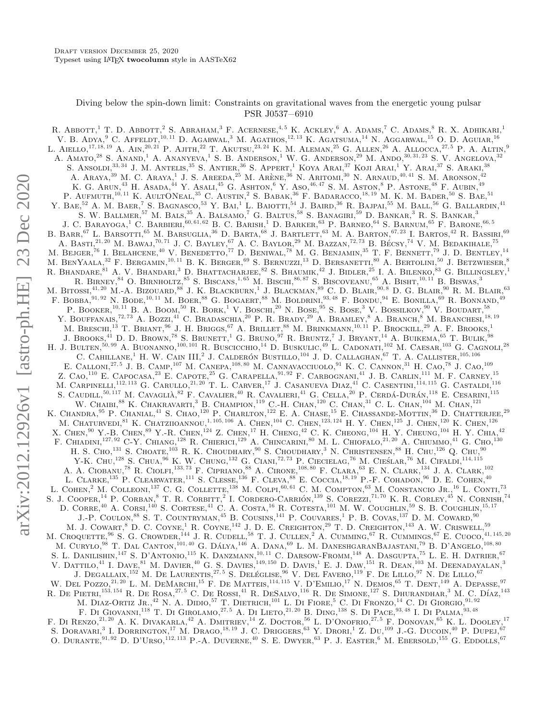Diving below the spin-down limit: Constraints on gravitational waves from the energetic young pulsar PSR J0537−6910

R. Abbott,<sup>1</sup> T. D. Abbott,<sup>2</sup> S. Abraham,<sup>3</sup> F. Acernese,<sup>4,5</sup> K. Ackley,<sup>6</sup> A. Adams,<sup>7</sup> C. Adams,<sup>8</sup> R. X. Adhikari,<sup>1</sup> V. B. Adya,<sup>9</sup> C. Affeldt,<sup>10, 11</sup> D. Agarwal,<sup>3</sup> M. Agathos,<sup>12, 13</sup> K. Agatsuma,<sup>14</sup> N. Aggarwal,<sup>15</sup> O. D. Aguiar,<sup>16</sup> L. AIELLO,<sup>17, 18, 19</sup> A. AIN,<sup>20, 21</sup> P. AJITH,<sup>22</sup> T. AKUTSU,<sup>23, 24</sup> K. M. ALEMAN,<sup>25</sup> G. ALLEN,<sup>26</sup> A. ALLOCCA,<sup>27, 5</sup> P. A. ALTIN,<sup>9</sup> A. AMATO,<sup>28</sup> S. ANAND,<sup>1</sup> A. ANANYEVA,<sup>1</sup> S. B. ANDERSON,<sup>1</sup> W. G. ANDERSON,<sup>29</sup> M. ANDO,<sup>30, 31, 23</sup> S. V. ANGELOVA,<sup>32</sup> S. ANSOLDI,  $33, 34$  J. M. ANTELIS,  $35$  S. ANTIER,  $36$  S. Appert, <sup>1</sup> Koya Aral,  $37$  Koji Aral, <sup>1</sup> Y. Aral,  $37$  S. Araki,  $38$ A. ARAYA.<sup>39</sup> M. C. ARAYA.<sup>1</sup> J. S. AREEDA.<sup>25</sup> M. ARÈNE.<sup>36</sup> N. ARITOMI.<sup>30</sup> N. ARNAUD.<sup>40, 41</sup> S. M. ARONSON.<sup>42</sup> K. G. ARUN,<sup>43</sup> H. Asada,<sup>44</sup> Y. Asali,<sup>45</sup> G. Ashton,<sup>6</sup> Y. Aso,<sup>46, 47</sup> S. M. Aston,<sup>8</sup> P. Astone,<sup>48</sup> F. Aubin,<sup>49</sup> P. AUFMUTH,<sup>10, 11</sup> K. AULTONEAL, <sup>35</sup> C. AUSTIN,<sup>2</sup> S. BABAK,<sup>36</sup> F. BADARACCO, <sup>18, 19</sup> M. K. M. BADER, <sup>50</sup> S. BAE, <sup>51</sup> Y. BAE,  $^{52}$  A. M. BAER,<sup>7</sup> S. BAGNASCO,  $^{53}$  Y. Bal,<sup>1</sup> L. Baiotti, $^{54}$  J. Baird,  $^{36}$  R. Bajpai,  $^{55}$  M. Ball,  $^{56}$  G. Ballardin,  $^{41}$ S. W. BALLMER,  $57$  M. BALS,  $35$  A. BALSAMO,  $7$  G. BALTUS,  $58$  S. BANAGIRI,  $59$  D. BANKAR,  $3$  R. S. BANKAR,  $3$ J. C. BARAYOGA,<sup>1</sup> C. BARBIERI,<sup>60, 61, 62</sup> B. C. BARISH,<sup>1</sup> D. BARKER,<sup>63</sup> P. BARNEO,<sup>64</sup> S. BARNUM,<sup>65</sup> F. BARONE,<sup>66, 5</sup> B. BARR,<sup>67</sup> L. BARSOTTI,<sup>65</sup> M. BARSUGLIA,<sup>36</sup> D. BARTA,<sup>68</sup> J. BARTLETT,<sup>63</sup> M. A. BARTON,<sup>67,23</sup> L. BARTOS,<sup>42</sup> R. BASSIRI,<sup>69</sup> A. BASTL<sup>21, 20</sup> M. BAWAJ, <sup>70, 71</sup> J. C. BAYLEY, <sup>67</sup> A. C. BAYLOR, <sup>29</sup> M. BAZZAN, <sup>72, 73</sup> B. BECSY, <sup>74</sup> V. M. BEDAKIHALE, <sup>75</sup> M. Bejger,<sup>76</sup> I. Belahcene,<sup>40</sup> V. Benedetto,<sup>77</sup> D. Beniwal,<sup>78</sup> M. G. Benjamin,<sup>35</sup> T. F. Bennett,<sup>79</sup> J. D. Bentley,<sup>14</sup> M. BENYAALA, <sup>32</sup> F. BERGAMIN, <sup>10, 11</sup> B. K. BERGER, <sup>69</sup> S. BERNUZZI, <sup>13</sup> D. BERSANETTI, <sup>80</sup> A. BERTOLINI, <sup>50</sup> J. BETZWIESER, <sup>8</sup> R. Bhandare, $^{81}$  A. V. Bhandari, $^3$  D. Bhattacharjee, $^{82}$  S. Bhaumik, $^{42}$  J. Bidler, $^{25}$  I. A. Bilenko, $^{83}$  G. Billingsley, $^1$ R. BIRNEY,  $84$  O. BIRNHOLTZ,  $85$  S. BISCANS,  $^{1,65}$  M. BISCHL,  $86, 87$  S. BISCOVEANU,  $^{65}$  A. BISHT,  $^{10,11}$  B. BISWAS,  $^3$ M. Bitossi, $^{41,20}$  M.-A. Bizouard, $^{88}$  J. K. Blackburn, $^1$  J. Blackman, $^{89}$  C. D. Blair, $^{90,8}$  D. G. Blair, $^{90}$  R. M. Blair, $^{63}$ F. BOBBA,  $91,92$  N. BODE,  $10,11$  M. BOER,  $88$  G. BOGAERT,  $88$  M. BOLDRINI,  $93,48$  F. BONDU,  $94$  E. BONILLA,  $69$  R. BONNAND,  $49$ P. BOOKER,  $^{10,11}$  B. A. BOOM,  $^{50}$  R. BORK,  $^1$  V. BOSCHI,  $^{20}$  N. BOSE,  $^{95}$  S. BOSE,  $^3$  V. BOSSILKOV,  $^{90}$  V. BOUDART,  $^{58}$ Y. BOUFFANAIS,<sup>72, 73</sup> A. BOZZI,<sup>41</sup> C. Bradaschia,<sup>20</sup> P. R. Brady,<sup>29</sup> A. Bramley,<sup>8</sup> A. Branch,<sup>8</sup> M. Branchesi,<sup>18, 19</sup> M. BRESCHI,<sup>13</sup> T. BRIANT,<sup>96</sup> J. H. BRIGGS,<sup>67</sup> A. BRILLET,<sup>88</sup> M. BRINKMANN,<sup>10,11</sup> P. BROCKILL,<sup>29</sup> A. F. BROOKS,<sup>1</sup> J. Brooks, $^{41}$  D. D. Brown,<sup>78</sup> S. Brunett,<sup>1</sup> G. Bruno,<sup>97</sup> R. Bruntz,<sup>7</sup> J. Bryant,<sup>14</sup> A. Buikema,<sup>65</sup> T. Bulik,<sup>98</sup> H. J. Bulten,  $^{50, 99}$  A. Buonanno,  $^{100, 101}$  R. Buscicchio,  $^{14}$  D. Buskulic,  $^{49}$  L. Cadonati,  $^{102}$  M. Caesar,  $^{103}$  G. Cagnoli,  $^{28}$ C. CAHILLANE,<sup>1</sup> H. W. CAIN III,<sup>2</sup> J. CALDERÓN BUSTILLO,<sup>104</sup> J. D. CALLAGHAN,<sup>67</sup> T. A. CALLISTER,<sup>105,106</sup> E. CALLONI,  $^{27,5}$  J. B. CAMP,  $^{107}$  M. CANEPA,  $^{108,80}$  M. CANNAVACCIUOLO,  $^{91}$  K. C. CANNON,  $^{31}$  H. CAO,  $^{78}$  J. CAO,  $^{109}$ Z. CAO,<sup>110</sup> E. CAPOCASA,<sup>23</sup> E. CAPOTE,<sup>25</sup> G. CARAPELLA,<sup>91,92</sup> F. CARBOGNANI,<sup>41</sup> J. B. CARLIN,<sup>111</sup> M. F. CARNEY,<sup>15</sup> M. CARPINELLI,<sup>112, 113</sup> G. CARULLO,<sup>21, 20</sup> T. L. CARVER,<sup>17</sup> J. CASANUEVA DIAZ,<sup>41</sup> C. CASENTINI,<sup>114, 115</sup> G. CASTALDI,<sup>116</sup> S. CAUDILL, <sup>50, 117</sup> M. CAVAGLIÀ, <sup>82</sup> F. CAVALIER, <sup>40</sup> R. CAVALIERI, <sup>41</sup> G. CELLA.<sup>20</sup> P. CERDÁ-DURÁN, <sup>118</sup> E. CESARINI.<sup>115</sup> W. CHAIBI,  $88\,$  K. CHAKRAVARTI,  $3\,$  B. CHAMPION,  $^{119}$  C.-H. CHAN,  $^{120}$  C. CHAN,  $^{31}$  C. L. CHAN,  $^{104}$  M. CHAN,  $^{121}$ K. Chandra,<sup>95</sup> P. Chanial,<sup>41</sup> S. Chao,<sup>120</sup> P. Charlton,<sup>122</sup> E. A. Chase,<sup>15</sup> E. Chassande-Mottin,<sup>36</sup> D. Chatterjee,<sup>29</sup> M. CHATURVEDL<sup>81</sup> K. CHATZIIOANNOU,<sup>1, 105, 106</sup> A. CHEN,<sup>104</sup> C. CHEN,<sup>123, 124</sup> H. Y. CHEN,<sup>125</sup> J. CHEN,<sup>120</sup> K. CHEN,<sup>126</sup> X. CHEN, <sup>90</sup> Y.-B. CHEN, <sup>89</sup> Y.-R. CHEN, <sup>124</sup> Z. CHEN, <sup>17</sup> H. CHENG, <sup>42</sup> C. K. CHEONG, <sup>104</sup> H. Y. CHEUNG, <sup>104</sup> H. Y. CHLA, <sup>42</sup> F. CHIADINI,<sup>127, 92</sup> C-Y. CHIANG,<sup>128</sup> R. CHIERICI,<sup>129</sup> A. CHINCARINI,<sup>80</sup> M. L. CHIOFALO,<sup>21, 20</sup> A. CHIUMMO,<sup>41</sup> G. CHO,<sup>130</sup> H. S. CHO,  $^{131}$  S. Choate,  $^{103}$  R. K. Choudhary,  $^{90}$  S. Choudhary,  $^{3}$  N. Christensen,  $^{88}$  H. Chu,  $^{126}$  O. Chu,  $^{90}$ Y-K. Chu,<sup>128</sup> S. Chua,<sup>96</sup> K. W. Chung,<sup>132</sup> G. Ciani,<sup>72, 73</sup> P. Ciecielag,<sup>76</sup> M. Cieślar,<sup>76</sup> M. Cifaldi,<sup>114, 115</sup> A. A. CIOBANU,<sup>78</sup> R. CIOLFI,<sup>133, 73</sup> F. CIPRIANO,<sup>88</sup> A. CIRONE,<sup>108,80</sup> F. CLARA,<sup>63</sup> E. N. CLARK,<sup>134</sup> J. A. CLARK.<sup>102</sup> L. CLARKE,  $^{135}$  P. CLEARWATER,  $^{111}$  S. CLESSE,  $^{136}$  F. CLEVA,  $^{88}$  E. COCCIA,  $^{18,19'}$  P.-F. COHADON,  $^{96}$  D. E. COHEN,  $^{40}$ L. COHEN,<sup>2</sup> M. COLLEONI,<sup>137</sup> C. G. COLLETTE,<sup>138</sup> M. COLPI,<sup>60, 61</sup> C. M. COMPTON,<sup>63</sup> M. CONSTANCIO JR.,<sup>16</sup> L. CONTI,<sup>73</sup> S. J. COOPER, <sup>14</sup> P. CORBAN, <sup>8</sup> T. R. CORBITT, <sup>2</sup> I. CORDERO-CARRION, <sup>139</sup> S. COREZZI, <sup>71, 70</sup> K. R. CORLEY, <sup>45</sup> N. CORNISH, <sup>74</sup> D. CORRE,<sup>40</sup> A. CORSI,<sup>140</sup> S. CORTESE,<sup>41</sup> C. A. COSTA,<sup>16</sup> R. COTESTA,<sup>101</sup> M. W. COUGHLIN,<sup>59</sup> S. B. COUGHLIN,<sup>15, 17</sup> J.-P. Coulon,<sup>88</sup> S. T. Countryman,<sup>45</sup> B. Cousins,<sup>141</sup> P. Couvares,<sup>1</sup> P. B. Covas,<sup>137</sup> D. M. Coward,<sup>90</sup> M. J. Cowart,<sup>8</sup> D. C. Coyne,<sup>1</sup> R. Coyne,<sup>142</sup> J. D. E. Creighton,<sup>29</sup> T. D. Creighton,<sup>143</sup> A. W. Criswell,<sup>59</sup> M. CROQUETTE, <sup>96</sup> S. G. CROWDER, <sup>144</sup> J. R. CUDELL, <sup>58</sup> T. J. CULLEN, <sup>2</sup> A. CUMMING, <sup>67</sup> R. CUMMINGS, <sup>67</sup> E. CUOCO, <sup>41, 145, 20</sup> M. CURYLO,<sup>98</sup> T. DAL CANTON,<sup>101,40</sup> G. DÁLYA,<sup>146</sup> A. DANA,<sup>69</sup> L. M. DANESHGARANBAJASTANI,<sup>79</sup> B. D'ANGELO,<sup>108,80</sup> S. L. DANILISHIN,<sup>147</sup> S. D'ANTONIO,<sup>115</sup> K. DANZMANN,<sup>10,11</sup> C. DARSOW-FROMM,<sup>148</sup> A. DASGUPTA,<sup>75</sup> L. E. H. DATRIER,<sup>67</sup> V. DATTILO, $^{41}$  I. DAVE, $^{81}$  M. Davier,  $^{40}$  G. S. Davies,  $^{149,150}$  D. Davis,  $^{1}$  E. J. Daw,  $^{151}$  R. Dean,  $^{103}$  M. Deenadayalan, 3 J. DEGALLAIX, <sup>152</sup> M. DE LAURENTIS, <sup>27, 5</sup> S. DELÉGLISE, <sup>96</sup> V. DEL FAVERO, <sup>119</sup> F. DE LILLO, <sup>97</sup> N. DE LILLO, <sup>67</sup> W. DEL POZZO,<sup>21, 20</sup> L. M. DEMARCHI,<sup>15</sup> F. DE MATTEIS,<sup>114,115</sup> V. D'EMILIO,<sup>17</sup> N. DEMOS,<sup>65</sup> T. DENT,<sup>149</sup> A. DEPASSE,<sup>97</sup> R. DE PIETRI,<sup>153, 154</sup> R. DE ROSA,<sup>27,5</sup> C. DE ROSSI,<sup>41</sup> R. DESALVO,<sup>116</sup> R. DE SIMONE,<sup>127</sup> S. DHURANDHAR,<sup>3</sup> M. C. DÍAZ,<sup>143</sup> M. Diaz-Ortiz Jr.,<sup>42</sup> N. A. Didio,<sup>57</sup> T. Dietrich,<sup>101</sup> L. Di Fiore,<sup>5</sup> C. Di Fronzo,<sup>14</sup> C. Di Giorgio,91, 92 F. DI GIOVANNI,  $^{118'}$  T. DI GIROLAMO,  $^{27,5}$  A. DI LIETO,  $^{21,20}$  B. DING,  $^{138}$  S. DI PACE,  $^{93,48}$  I. DI PALMA,  $^{93,48}$ F. DI RENZO,<sup>21, 20</sup> A. K. DIVAKARLA,<sup>42</sup> A. DMITRIEV,<sup>14</sup> Z. DOCTOR,<sup>56</sup> L. D'ONOFRIO,<sup>27,5</sup> F. DONOVAN,<sup>65</sup> K. L. DOOLEY,<sup>17</sup> S. DORAVARI,<sup>3</sup> I. DORRINGTON,<sup>17</sup> M. DRAGO,<sup>18, 19</sup> J. C. DRIGGERS,<sup>63</sup> Y. DRORL<sup>1</sup> Z. DU,<sup>109</sup> J.-G. DUCOIN,<sup>40</sup> P. DUPEJ,<sup>67</sup>

O. DURANTE.<sup>91, 92</sup> D. D'Urso, <sup>112, 113</sup> P.-A. DUVERNE, <sup>40</sup> S. E. DWYER, <sup>63</sup> P. J. EASTER, <sup>6</sup> M. EBERSOLD, <sup>155</sup> G. EDDOLLS, <sup>67</sup>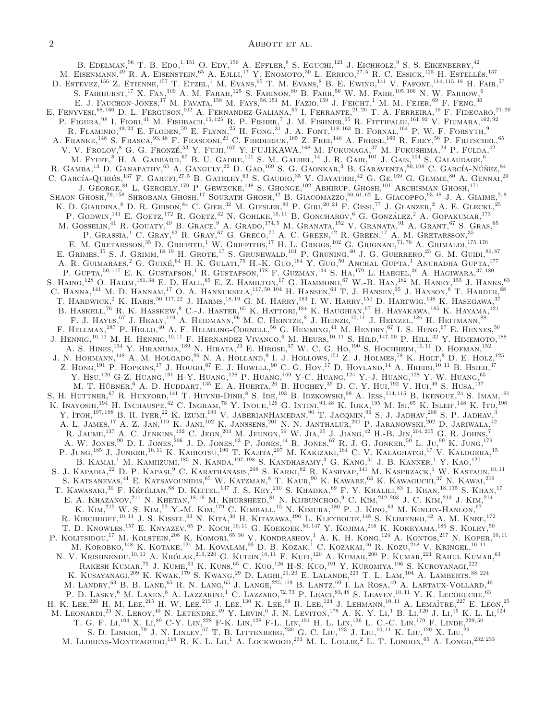B. EDELMAN,<sup>56</sup> T. B. EDO,<sup>1, 151</sup> O. EDY,<sup>150</sup> A. EFFLER,<sup>8</sup> S. EGUCHI,<sup>121</sup> J. EICHHOLZ,<sup>9</sup> S. S. EIKENBERRY,<sup>42</sup> M. EISENMANN,<sup>49</sup> R. A. EISENSTEIN,<sup>65</sup> A. EJLLI,<sup>17</sup> Y. ENOMOTO,<sup>30</sup> L. ERRICO,<sup>27,5</sup> R. C. ESSICK,<sup>125</sup> H. ESTELLÉS,<sup>137</sup> D. ESTEVEZ,<sup>156</sup> Z. ETIENNE,<sup>157</sup> T. ETZEL,<sup>1</sup> M. EVANS,<sup>65</sup> T. M. EVANS,<sup>8</sup> B. E. EWING,<sup>141</sup> V. FAFONE,<sup>114, 115, 18</sup> H. FAIR,<sup>57</sup> S. FAIRHURST, <sup>17</sup> X. FAN, <sup>109</sup> A. M. FARAH, <sup>125</sup> S. FARINON, <sup>80</sup> B. FARR, <sup>56</sup> W. M. FARR, <sup>105, 106</sup> N. W. FARROW, <sup>6</sup> E. J. FAUCHON-JONES.<sup>17</sup> M. FAVATA,<sup>158</sup> M. FAYS,<sup>58, 151</sup> M. FAZIO,<sup>159</sup> J. FEICHT,<sup>1</sup> M. M. FEJER,<sup>69</sup> F. FENG,<sup>36</sup> E. FENYVESL<sup>68, 160</sup> D. L. FERGUSON.<sup>102</sup> A. FERNANDEZ-GALIANA.<sup>65</sup> I. FERRANTE.<sup>21, 20</sup> T. A. FERREIRA.<sup>16</sup> F. FIDECARO.<sup>21, 20</sup> P. FIGURA.<sup>98</sup> I. FIORL<sup>41</sup> M. FISHBACH,<sup>15,125</sup> R. P. FISHER.<sup>7</sup> J. M. FISHNER.<sup>65</sup> R. FITTIPALDI.<sup>161,92</sup> V. FIUMARA.<sup>162,92</sup> R. FLAMINIO,<sup>49, 23</sup> E. FLODEN,<sup>59</sup> E. FLYNN,<sup>25</sup> H. FONG,<sup>31</sup> J. A. FONT,<sup>118, 163</sup> B. FORNAL,<sup>164</sup> P. W. F. FORSYTH,<sup>9</sup> A. FRANKE,  $^{148}$  S. Frasca,  $^{93,48}$  F. Frasconi,  $^{20}$  C. Frederick,  $^{165}$  Z. Frei,  $^{146}$  A. Freise,  $^{166}$  R. Frey,  $^{56}$  P. Fritschel,  $^{65}$ V. V. FROLOV, <sup>8</sup> G. G. FRONZÉ, <sup>53</sup> Y. FUJII,<sup>167</sup> Y. FUJIKAWA,<sup>168</sup> M. FUKUNAGA, <sup>37</sup> M. FUKUSHIMA, <sup>24</sup> P. FULDA, <sup>42</sup> M. FYFFE,<sup>8</sup> H. A. GABBARD,<sup>67</sup> B. U. GADRE,<sup>101</sup> S. M. GAEBEL,<sup>14</sup> J. R. GAIR,<sup>101</sup> J. GAIS,<sup>104</sup> S. GALAUDAGE,<sup>6</sup> R. GAMBA,<sup>13</sup> D. GANAPATHY,<sup>65</sup> A. GANGULY,<sup>22</sup> D. GAO,<sup>169</sup> S. G. GAONKAR,<sup>3</sup> B. GARAVENTA,<sup>80, 108</sup> C. GARCÍA-NÚÑEZ,<sup>84</sup> C. GARCÍA-QUIRÓS, <sup>137</sup> F. GARUFI, <sup>27, 5</sup> B. GATELEY, <sup>63</sup> S. GAUDIO, <sup>35</sup> V. GAYATHRI, <sup>42</sup> G. GE, <sup>169</sup> G. GEMME, <sup>80</sup> A. GENNAI, <sup>20</sup> J. GEORGE,<sup>81</sup> L. GERGELY,<sup>170</sup> P. GEWECKE,<sup>148</sup> S. GHONGE,<sup>102</sup> ABHIRUP. GHOSH,<sup>101</sup> ARCHISMAN GHOSH,<sup>171</sup> Shaon Ghosh,<sup>29, 158</sup> Shrobana Ghosh,<sup>17</sup> Sourath Ghosh,<sup>42</sup> B. Giacomazzo,<sup>60, 61, 62</sup> L. Giacoppo,<sup>93, 48</sup> J. A. Giaime,<sup>2, 8</sup> K. D. GIARDINA,<sup>8</sup> D. R. GIBSON,<sup>84</sup> C. GIER,<sup>32</sup> M. GIESLER,<sup>89</sup> P. GIRL<sup>20, 21</sup> F. GISSL<sup>77</sup> J. GLANZER,<sup>2</sup> A. E. GLECKL,<sup>25</sup> P. GODWIN,  $^{141}$  E. GOETZ,  $^{172}$  R. GOETZ,  $^{42'}$  N. GOHLKE,  $^{10,11}$  B. GONCHAROV, <sup>6</sup> G. GONZÁLEZ, <sup>2</sup> A. GOPAKUMAR,  $^{173}$ M. GOSSELIN.<sup>41</sup> R. GOUATY, <sup>49</sup> B. GRACE, <sup>9</sup> A. GRADO, <sup>174, 5</sup> M. GRANATA, <sup>152</sup> V. GRANATA, <sup>91</sup> A. GRANT, <sup>67</sup> S. GRAS, <sup>65</sup> P. GRASSIA,<sup>1</sup> C. GRAY,<sup>63</sup> R. GRAY,<sup>67</sup> G. GRECO,<sup>70</sup> A. C. GREEN,<sup>42</sup> R. GREEN,<sup>17</sup> A. M. GRETARSSON,<sup>35</sup> E. M. GRETARSSON,<sup>35</sup> D. GRIFFITH,<sup>1</sup> W. GRIFFITHS,<sup>17</sup> H. L. GRIGGS,<sup>102</sup> G. GRIGNANI,<sup>71,70</sup> A. GRIMALDI,<sup>175, 176</sup> E. GRIMES,  $35$  S. J. GRIMM,  $^{18,19}$  H. GROTE,  $^{17}$  S. GRUNEWALD,  $^{101}$  P. GRUNING,  $^{40}$  J. G. GUERRERO,  $^{25}$  G. M. GUIDI,  $^{86,87}$ A. R. GUIMARAES,<sup>2</sup> G. GUIXÉ,<sup>64</sup> H. K. GULATI,<sup>75</sup> H.-K. GUO,<sup>164</sup> Y. GUO,<sup>50</sup> ANCHAL GUPTA,<sup>1</sup> ANURADHA GUPTA,<sup>177</sup> P. GUPTA,<sup>50, 117</sup> E. K. GUSTAFSON,<sup>1</sup> R. GUSTAFSON,<sup>178</sup> F. GUZMAN,<sup>134</sup> S. Ha,<sup>179</sup> L. HAEGEL,<sup>36</sup> A. HAGIWARA,<sup>37, 180</sup> S. HAINO,  $^{128}$  O. Halim,  $^{181,34}$  E. D. Hall,  $^{65}$  E. Z. Hamilton,  $^{17}$  G. Hammond,  $^{67}$  W.-B. Han,  $^{182}$  M. Haney,  $^{155}$  J. Hanks,  $^{63}$ C. HANNA,<sup>141</sup> M. D. HANNAM,<sup>17</sup> O. A. HANNUKSELA,<sup>117, 50, 104</sup> H. HANSEN,<sup>63</sup> T. J. HANSEN,<sup>35</sup> J. HANSON,<sup>8</sup> T. HARDER,<sup>88</sup> T. HARDWICK,<sup>2</sup> K. HARIS,<sup>50,117,22</sup> J. HARMS,<sup>18,19</sup> G. M. HARRY,<sup>183</sup> I. W. HARRY,<sup>150</sup> D. HARTWIG,<sup>148</sup> K. HASEGAWA,<sup>37</sup> B. Haskell,<sup>76</sup> R. K. Hasskew,<sup>8</sup> C.-J. Haster,<sup>65</sup> K. Hattori,<sup>184</sup> K. Haughian,<sup>67</sup> H. Hayakawa,<sup>185</sup> K. Hayama,<sup>121</sup> F. J. HAYES.<sup>67</sup> J. HEALY,<sup>119</sup> A. HEIDMANN.<sup>96</sup> M. C. HEINTZE,<sup>8</sup> J. HEINZE,<sup>10,11</sup> J. HEINZEL,<sup>186</sup> H. HEITMANN.<sup>88</sup> F. HELLMAN,<sup>187</sup> P. HELLO,<sup>40</sup> A. F. HELMLING-CORNELL,<sup>56</sup> G. HEMMING,<sup>41</sup> M. HENDRY,<sup>67</sup> I. S. HENG,<sup>67</sup> E. HENNES,<sup>50</sup> J. HENNIG,  $^{10,11}$  M. H. HENNIG,  $^{10,11}$  F. HERNANDEZ VIVANCO,  $^{6}$  M. HEURS,  $^{10,11}$  S. HILD,  $^{147,50}$  P. HILL,  $^{32}$  Y. HIMEMOTO,  $^{188}$ A. S. HINES,<sup>134</sup> Y. HIRANUMA,<sup>189</sup> N. HIRATA,<sup>23</sup> E. HIROSE,<sup>37</sup> W. C. G. HO,<sup>190</sup> S. HOCHHEIM,<sup>10, 11</sup> D. HOFMAN,<sup>152</sup> J. N. HOHMANN,<sup>148</sup> A. M. HOLGADO,<sup>26</sup> N. A. HOLLAND,<sup>9</sup> I. J. HOLLOWS,<sup>151</sup> Z. J. HOLMES,<sup>78</sup> K. HOLT,<sup>8</sup> D. E. HOLZ,<sup>125</sup> Z. Hong,<sup>191</sup> P. Hopkins,<sup>17</sup> J. Hough,<sup>67</sup> E. J. Howell,<sup>90</sup> C. G. Hoy,<sup>17</sup> D. Hoyland,<sup>14</sup> A. Hreibi,<sup>10, 11</sup> B. Hsieh,<sup>37</sup> Y. Hsu,<sup>120</sup> G-Z. Huang,<sup>191</sup> H-Y. Huang,<sup>128</sup> P. Huang,<sup>169</sup> Y-C. Huang,<sup>124</sup> Y.-J. Huang,<sup>128</sup> Y.-W. Huang,<sup>65</sup> M. T. HÜBNER,  $^6$  A. D. HUDDART,  $^{135}$  E. A. HUERTA,  $^{26}$  B. HUGHEY,  $^{35}$  D. C. Y. Hul,  $^{192}$  V. Hul,  $^{49}$  S. Husa,  $^{137}$ S. H. HUTTNER, <sup>67</sup> R. HUXFORD,<sup>141</sup> T. HUYNH-DINH, <sup>8</sup> S. IDE, <sup>193</sup> B. IDZKOWSKI, <sup>98</sup> A. IESS, <sup>114, 115</sup> B. IKENOUE, <sup>24</sup> S. IMAM,<sup>191</sup> K. INAYOSHI,<sup>194</sup> H. INCHAUSPE,<sup>42</sup> C. INGRAM,<sup>78</sup> Y. INOUE,<sup>126</sup> G. INTINI,<sup>93,48</sup> K. IOKA,<sup>195</sup> M. ISI,<sup>65</sup> K. ISLEIF,<sup>148</sup> K. ITO,<sup>196</sup> Y. ITOH,<sup>197, 198</sup> B. R. IYER,<sup>22</sup> K. IZUMI,<sup>199</sup> V. JABERIANHAMEDAN,<sup>90</sup> T. JACOMIN,<sup>96</sup> S. J. JADHAV,<sup>200</sup> S. P. JADHAV,<sup>3</sup> A. L. JAMES,<sup>17</sup> A. Z. Jan<sup>,119</sup> K. Jani,<sup>102</sup> K. Janssens,<sup>201</sup> N. N. Janthalur,<sup>200</sup> P. Jaranowski,<sup>202</sup> D. Jariwala,<sup>42</sup> R. JAUME,<sup>137</sup> A. C. JENKINS,<sup>132</sup> C. JEON,<sup>203</sup> M. JEUNON,<sup>59</sup> W. JIA,<sup>65</sup> J. JIANG,<sup>42</sup> H.-B. JIN,<sup>204,205</sup> G. R. JOHNS,<sup>7</sup> A. W. JONES.<sup>90</sup> D. I. JONES.<sup>206</sup> J. D. JONES.<sup>63</sup> P. JONES.<sup>14</sup> R. JONES,<sup>67</sup> R. J. G. JONKER,<sup>50</sup> L. JU,<sup>90</sup> K. JUNG,<sup>179</sup> P. JUNG,<sup>185</sup> J. JUNKER,<sup>10, 11</sup> K. KAIHOTSU,<sup>196</sup> T. KAJITA.<sup>207</sup> M. KAKIZAKI,<sup>184</sup> C. V. KALAGHATGI,<sup>17</sup> V. KALOGERA,<sup>15</sup> B. KAMAL<sup>1</sup> M. KAMIIZUML<sup>185</sup> N. KANDA,<sup>197, 198</sup> S. KANDHASAMY,<sup>3</sup> G. KANG,<sup>51</sup> J. B. KANNER,<sup>1</sup> Y. KAO,<sup>120</sup> S. J. KAPADIA.<sup>22</sup> D. P. KAPASI,<sup>9</sup> C. KARATHANASIS,<sup>208</sup> S. KARKI,<sup>82</sup> R. KASHYAP,<sup>141</sup> M. KASPRZACK,<sup>1</sup> W. KASTAUN,<sup>10,11</sup> S. KATSANEVAS,<sup>41</sup> E. KATSAVOUNIDIS,<sup>65</sup> W. KATZMAN,<sup>8</sup> T. KAUR,<sup>90</sup> K. KAWABE,<sup>63</sup> K. KAWAGUCHI,<sup>37</sup> N. KAWAI,<sup>209</sup> T. KAWASAKI, $^{30}$  F. KÉFÉLIAN,  $^{88}$  D. Keitel,  $^{137}$  J. S. Key,  $^{210}$  S. Khadka,  $^{69}$  F. Y. Khalilli,  $^{83}$  I. Khan,  $^{18}$ ,  $^{115}$  S. Khan,  $^{17}$ E. A. KHAZANOV,<sup>211</sup> N. KHETAN,<sup>18, 19</sup> M. KHURSHEED,<sup>81</sup> N. KLIBUNCHOO,<sup>9</sup> C. KIM,<sup>212, 203</sup> J. C. KIM,<sup>213</sup> J. KIM,<sup>214</sup> K. KIM,<sup>215</sup> W. S. KIM,<sup>52</sup> Y.-M. KIM,<sup>179</sup> C. KIMBALL,<sup>15</sup> N. KIMURA,<sup>180</sup> P. J. KING,<sup>63</sup> M. KINLEY-HANLON,<sup>67</sup> R. KIRCHHOFF,<sup>10, 11</sup> J. S. KISSEL,<sup>63</sup> N. KITA,<sup>30</sup> H. KITAZAWA,<sup>196</sup> L. KLEYBOLTE,<sup>148</sup> S. KLIMENKO,<sup>42</sup> A. M. KNEE,<sup>172</sup> T. D. KNOWLES,<sup>157</sup> E. KNYAZEV,<sup>65</sup> P. KOCH,<sup>10,11</sup> G. KOEKOEK,<sup>50,147</sup> Y. KOJIMA,<sup>216</sup> K. KOKEYAMA,<sup>185</sup> S. KOLEY,<sup>50</sup> P. KOLITSIDOU,<sup>17</sup> M. KOLSTEIN,<sup>208</sup> K. KOMORI,<sup>65, 30</sup> V. KONDRASHOV,<sup>1</sup> A. K. H. KONG,<sup>124</sup> A. KONTOS,<sup>217</sup> N. KOPER,<sup>10, 11</sup> M. KOROBKO, $^{148}$  K. KOTAKE, $^{121}$  M. KOVALAM, $^{90}$  D. B. KOZAK, $^{1}$  C. KOZAKAI, $^{46}$  R. KOZU, $^{218}$  V. KRINGEL, $^{10, 11}$ N. V. KRISHNENDU,<sup>10, 11</sup> A. KRÓLAK, <sup>219, 220</sup> G. KUEHN, <sup>10, 11</sup> F. KUEL, <sup>120</sup> A. KUMAR, <sup>200</sup> P. KUMAR, <sup>221</sup> RAHUL KUMAR, <sup>63</sup> RAKESH KUMAR,<sup>75</sup> J. KUME,<sup>31</sup> K. KUNS,<sup>65</sup> C. Kuo,<sup>126</sup> H-S. Kuo,<sup>191</sup> Y. Kuromiya,<sup>196</sup> S. Kuroyanagi,<sup>222</sup> K. KUSAYANAGL<sup>209 K.</sup> KWAK,<sup>179</sup> S. KWANG,<sup>29</sup> D. LAGHL<sup>21, 20</sup> E. LALANDE,<sup>223</sup> T. L. LAM,<sup>104</sup> A. LAMBERTS,<sup>88, 224</sup> M. LANDRY,  $^{63}$  B. B. LANE,  $^{65}$  R. N. LANG,  $^{65}$  J. LANGE,  $^{225,119}$  B. LANTZ,  $^{69}$  I. LA ROSA,  $^{49}$  A. LARTAUX-VOLLARD,  $^{40}$ P. D. LASKY, <sup>6</sup> M. LAXEN, <sup>8</sup> A. LAZZARINI,<sup>1</sup> C. LAZZARO,<sup>72,73</sup> P. LEACI,<sup>93,48</sup> S. LEAVEY,<sup>10,11</sup> Y. K. LECOEUCHE,<sup>63</sup> H. K. Lee,<sup>226</sup> H. M. Lee,<sup>215</sup> H. W. Lee,<sup>213</sup> J. Lee,<sup>130</sup> K. Lee,<sup>69</sup> R. Lee,<sup>124</sup> J. Lehmann,<sup>10,11</sup> A. Lemaître,<sup>227</sup> E. Leon,<sup>25</sup> M. LEONARDL<sup>23</sup> N. LEROY,<sup>40</sup> N. LETENDRE,<sup>49</sup> Y. LEVIN,<sup>6</sup> J. N. LEVITON,<sup>178</sup> A. K. Y. Li,<sup>1</sup> B. Li,<sup>120</sup> J. Li,<sup>15</sup> K. L. Li,<sup>124</sup> T. G. F. Li,  $^{104}$  X. Li,  $^{89}$  C-Y. Lin,  $^{228}$  F-K. Lin,  $^{128}$  F-L. Lin,  $^{191}$  H. L. Lin,  $^{126}$  L. C.-C. Lin,  $^{179}$  F. Linde,  $^{229,50}$ S. D. LINKER,<sup>79</sup> J. N. LINLEY,<sup>67</sup> T. B. LITTENBERG,<sup>230</sup> G. C. LIU,<sup>123</sup> J. LIU,<sup>10, 11</sup> K. LIU,<sup>120</sup> X. LIU,<sup>29</sup> M. Llorens-Monteagudo,<sup>118</sup> R. K. L. Lo,<sup>1</sup> A. Lockwood,<sup>231</sup> M. L. Lollie,<sup>2</sup> L. T. London,<sup>65</sup> A. Longo,232, 233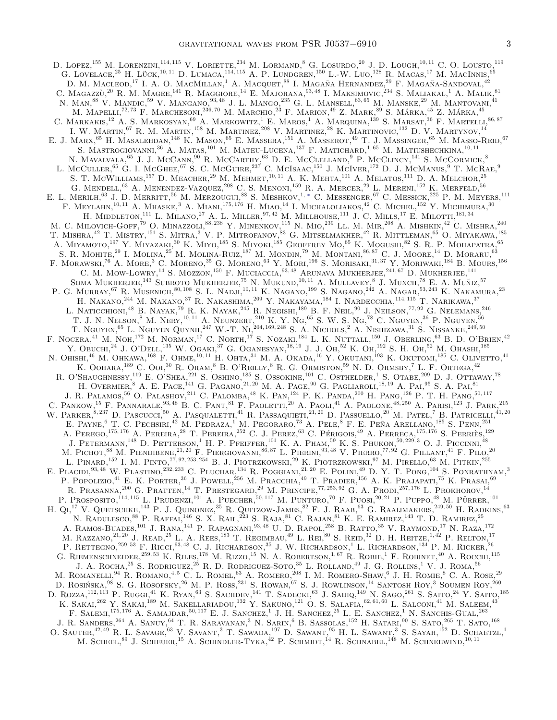D. LOPEZ,<sup>155</sup> M. LORENZINI,<sup>114, 115</sup> V. LORIETTE,<sup>234</sup> M. LORMAND,<sup>8</sup> G. LOSURDO,<sup>20</sup> J. D. LOUGH,<sup>10, 11</sup> C. O. LOUSTO,<sup>119</sup> G. LOVELACE.<sup>25</sup> H. LÜCK, <sup>10, 11</sup> D. LUMACA, <sup>114, 115</sup> A. P. LUNDGREN, <sup>150</sup> L.-W. LUO, <sup>128</sup> R. MACAS, <sup>17</sup> M. MACINNIS, <sup>65</sup> D. M. MACLEOD.<sup>17</sup> I. A. O. MACMILLAN.<sup>1</sup> A. MACQUET.<sup>88</sup> I. MAGAÑA HERNANDEZ.<sup>29</sup> F. MAGAÑA-SANDOVAL.<sup>42</sup> C. MAGAZZÙ,  $^{20}$  R. M. MAGEE,  $^{141}$  R. MAGGIORE,  $^{14}$  E. MAJORANA,  $^{93,48}$  I. MAKSIMOVIC,  $^{234}$  S. MALIAKAL,  $^{1}$  A. MALIK,  $^{81}$ N. MAN,<sup>88</sup> V. Mandic,<sup>59</sup> V. Mangano,<sup>93, 48</sup> J. L. Mango,<sup>235</sup> G. L. Mansell,<sup>63, 65</sup> M. Manske,<sup>29</sup> M. Mantovani,<sup>41</sup> M. MAPELLI,<sup>72, 73</sup> F. MARCHESONI,<sup>236, 70</sup> M. MARCHIO,<sup>23</sup> F. MARION,<sup>49</sup> Z. MARK,<sup>89</sup> S. MÁRKA,<sup>45</sup> Z. MÁRKA,<sup>45</sup> C. MARKAKIS,<sup>12</sup> A. S. MARKOSYAN,<sup>69</sup> A. MARKOWITZ<sup>1</sup> E. MAROS,<sup>1</sup> A. MAROUINA,<sup>139</sup> S. MARSAT,<sup>36</sup> F. MARTELLI,<sup>86,87</sup> I. W. Martin,<sup>67</sup> R. M. Martin,<sup>158</sup> M. Martinez,<sup>208</sup> V. Martinez,<sup>28</sup> K. Martinovic,<sup>132</sup> D. V. Martynov,<sup>14</sup> E. J. MARX, <sup>65</sup> H. MASALEHDAN,<sup>148</sup> K. MASON, <sup>65</sup> E. MASSERA,<sup>151</sup> A. MASSEROT,<sup>49</sup> T. J. MASSINGER, <sup>65</sup> M. MASSO-REID, <sup>67</sup> S. MASTROGIOVANNI,  $36\text{ Å}$ . MATAS,  $^{101}$  M. MATEU-LUCENA,  $^{137}$  F. MATICHARD,  $^{1,65}$  M. MATIUSHECHKINA,  $^{10,11}$ N. MAVALVALA, <sup>65</sup> J. J. MCCANN, <sup>90</sup> R. MCCARTHY, <sup>63</sup> D. E. MCCLELLAND, <sup>9</sup> P. MCCLINCY, <sup>141</sup> S. MCCORMICK, <sup>8</sup> L. McCuller,<sup>65</sup> G. I. McGhee,<sup>67</sup> S. C. McGuire,<sup>237</sup> C. McIsaac,<sup>150</sup> J. McIver,<sup>172</sup> D. J. McManus,<sup>9</sup> T. McRae,<sup>9</sup> S. T. MCWILLIAMS,<sup>157</sup> D. MEACHER,<sup>29</sup> M. MEHMET,<sup>10,11</sup> A. K. MEHTA,<sup>101</sup> A. MELATOS,<sup>111</sup> D. A. MELCHOR,<sup>25</sup> G. MENDELL, <sup>63</sup> A. MENENDEZ-VAZQUEZ, <sup>208</sup> C. S. MENONI, <sup>159</sup> R. A. MERCER, <sup>29</sup> L. MERENI, <sup>152</sup> K. MERFELD, <sup>56</sup> E. L. MERILH,<sup>63</sup> J. D. MERRITT,<sup>56</sup> M. MERZOUGUI,<sup>88</sup> S. MESHKOV,<sup>1,\*</sup> C. MESSENGER,<sup>67</sup> C. MESSICK,<sup>225</sup> P. M. MEYERS,<sup>111</sup> F. MEYLAHN,<sup>10, 11</sup> A. MHASKE,<sup>3</sup> A. MIANL<sup>175, 176</sup> H. MIAO,<sup>14</sup> L. MICHALOLIAKOS,<sup>42</sup> C. MICHEL,<sup>152</sup> Y. MICHIMURA,<sup>30</sup> H. MIDDLETON,<sup>111</sup> L. MILANO,<sup>27</sup> A. L. MILLER,<sup>97,42</sup> M. MILLHOUSE,<sup>111</sup> J. C. MILLS,<sup>17</sup> E. MILOTTI,<sup>181,34</sup> M. C. Milovich-Goff,<sup>79</sup> O. Minazzoli,88, 238 Y. Minenkov,<sup>115</sup> N. Mio,<sup>239</sup> Ll. M. Mir,<sup>208</sup> A. Mishkin,<sup>42</sup> C. Mishra,<sup>240</sup> T. MISHRA,<sup>42</sup> T. MISTRY,<sup>151</sup> S. MITRA,<sup>3</sup> V. P. MITROFANOV,<sup>83</sup> G. MITSELMAKHER,<sup>42</sup> R. MITTLEMAN,<sup>65</sup> O. MIYAKAWA,<sup>185</sup> A. Miyamoto,<sup>197</sup> Y. Miyazaki,<sup>30</sup> K. Miyo,<sup>185</sup> S. Miyoki,<sup>185</sup> Geoffrey Mo,<sup>65</sup> K. Mogushi,<sup>82</sup> S. R. P. Mohapatra,<sup>65</sup> S. R. MOHITE,  $^{29}$  I. MOLINA,  $^{25}$  M. MOLINA-RUIZ,  $^{187}$  M. MONDIN,  $^{79}$  M. MONTANL,  $^{86,87}$  C. J. MOORE,  $^{14}$  D. MORARU,  $^{63}$ F. MORAWSKI,<sup>76</sup> A. MORE,<sup>3</sup> C. MORENO,<sup>35</sup> G. MORENO,<sup>63</sup> Y. MORI,<sup>196</sup> S. MORISAKI,<sup>31, 37</sup> Y. MORIWAKI,<sup>184</sup> B. MOURS,<sup>156</sup> C. M. Mow-Lowry,<sup>14</sup> S. Mozzon,<sup>150</sup> F. Muciaccia,<sup>93, 48</sup> Arunava Mukherjee,<sup>241, 67</sup> D. Mukherjee,<sup>141</sup> SOMA MUKHERJEE,  $^{143}$  SUBROTO MUKHERJEE,  $^{75}$  N. MUKUND,  $^{10,11}$  A. MULLAVEY,  $^8$  J. MUNCH,  $^{78}$  E. A. MUNIZ,  $^{57}$ P. G. MURRAY, <sup>67</sup> R. MUSENICH, <sup>80, 108</sup> S. L. Nadji, <sup>10, 11</sup> K. Nagano,<sup>199</sup> S. Nagano,<sup>242</sup> A. Nagar, <sup>53, 243</sup> K. Nakamura, <sup>23</sup> H. NAKANO,<sup>244</sup> M. NAKANO,<sup>37</sup> R. NAKASHIMA,<sup>209</sup> Y. NAKAYAMA,<sup>184</sup> I. NARDECCHIA,<sup>114,115</sup> T. NARIKAWA,<sup>37</sup> L. NATICCHIONI,<sup>48</sup> B. NAYAK,<sup>79</sup> R. K. NAYAK,<sup>245</sup> R. Negishi,<sup>189</sup> B. F. Neil,<sup>90</sup> J. Neilson,<sup>77,92</sup> G. Nelemans,<sup>246</sup> T. J. N. Nelson,<sup>8</sup> M. Nery,<sup>10, 11</sup> A. Neunzert,<sup>210</sup> K. Y. Ng,<sup>65</sup> S. W. S. Ng,<sup>78</sup> C. Nguyen,<sup>36</sup> P. Nguyen,<sup>56</sup> T. NGUYEN, <sup>65</sup> L. NGUYEN QUYNH, <sup>247</sup> W.-T. Ni, <sup>204, 169, 248</sup> S. A. Nichols, <sup>2</sup> A. Nishizawa, <sup>31</sup> S. Nissanke, <sup>249, 50</sup> F. NOCERA,<sup>41</sup> M. NOH,<sup>172</sup> M. NORMAN,<sup>17</sup> C. NORTH,<sup>17</sup> S. NOZAKI,<sup>184</sup> L. K. NUTTALL,<sup>150</sup> J. Oberling,<sup>63</sup> B. D. O'Brien,<sup>42</sup> Y. Obuchi,<sup>24</sup> J. O'Dell,<sup>135</sup> W. Ogaki,<sup>37</sup> G. Oganesyan,<sup>18, 19</sup> J. J. Oh,<sup>52</sup> K. Oh,<sup>192</sup> S. H. Oh,<sup>52</sup> M. Ohashi,<sup>185</sup> N. Ohishi,<sup>46</sup> M. Ohkawa,<sup>168</sup> F. Ohme,<sup>10, 11</sup> H. Ohta,<sup>31</sup> M. A. Okada,<sup>16</sup> Y. Okutani,<sup>193</sup> K. Okutomi,<sup>185</sup> C. Olivetto,<sup>41</sup> K. OOHARA,  $^{189}$  C. Ool,  $^{30}$  R. Oram,  $^{8}$  B. O'Reilly,  $^{8}$  R. G. Ormiston,  $^{59}$  N. D. Ormsby,  $^{7}$  L. F. Ortega,  $^{42}$ R. O'SHAUGHNESSY,<sup>119</sup> E. O'SHEA,<sup>221</sup> S. OSHINO,<sup>185</sup> S. OSSOKINE,<sup>101</sup> C. OSTHELDER,<sup>1</sup> S. OTABE,<sup>209</sup> D. J. OTTAWAY,<sup>78</sup> H. Overmier,<sup>8</sup> A. E. Pace,<sup>141</sup> G. Pagano,<sup>21, 20</sup> M. A. Page,<sup>90</sup> G. Pagliaroli,<sup>18, 19</sup> A. Pal,<sup>95</sup> S. A. Pal,<sup>81</sup> J. R. PALAMOS,<sup>56</sup> O. PALASHOV,<sup>211</sup> C. PALOMBA,<sup>48</sup> K. PAN,<sup>124</sup> P. K. PANDA,<sup>200</sup> H. PANG,<sup>126</sup> P. T. H. PANG,<sup>50,117</sup> C. PANKOW,<sup>15</sup> F. PANNARALE,<sup>93, 48</sup> B. C. PANT,<sup>81</sup> F. PAOLETTI,<sup>20</sup> A. PAOLI,<sup>41</sup> A. PAOLONE,<sup>48,250</sup> A. PARISI,<sup>123</sup> J. PARK,<sup>215</sup> W. PARKER,  $8,237$  D. Pascucci,  $50$  A. Pasqualetti,  $41$  R. Passaquieti,  $21,20$  D. Passuello,  $20$  M. Patel,  $7$  B. Patricelli,  $41,20$ E. PAYNE, <sup>6</sup> T. C. PECHSIRL<sup>42</sup> M. PEDRAZA,<sup>1</sup> M. PEGORARO,<sup>73</sup> A. PELE,<sup>8</sup> F. E. PEÑA ARELLANO,<sup>185</sup> S. PENN,<sup>251</sup> A. PEREGO,  $^{175,176}$  A. PEREIRA,  $^{28}$  T. PEREIRA,  $^{252}$  C. J. PEREZ,  $^{63}$  C. PERIGOIS,  $^{49}$  A. PERRECA,  $^{175,176}$  S. PERRIES,  $^{129}$ J. PETERMANN,<sup>148</sup> D. PETTERSON,<sup>1</sup> H. P. PFEIFFER,<sup>101</sup> K. A. PHAM,<sup>59</sup> K. S. PHUKON,<sup>50, 229, 3</sup> O. J. PICCINNI.<sup>48</sup> M. PICHOT,<sup>88</sup> M. PIENDIBENE,<sup>21, 20</sup> F. PIERGIOVANNI,<sup>86, 87</sup> L. PIERINI,<sup>93,48</sup> V. PIERRO,<sup>77, 92</sup> G. PILLANT,<sup>41</sup> F. PILO,<sup>20</sup> L. Pinard,<sup>152</sup> I. M. Pinto,77, 92, 253, 254 B. J. Piotrzkowski,<sup>29</sup> K. Piotrzkowski,<sup>97</sup> M. Pirello,<sup>63</sup> M. Pitkin,<sup>255</sup> E. PLACIDI,  $93,48$  W. PLASTINO,  $232,233$  C. Pluchar,  $^{134}$  R. Poggiani,  $^{21,20}$  E. Polini,  $^{49}$  D. Y. T. Pong,  $^{104}$  S. Ponrathnam, 3 P. POPOLIZIO,<sup>41</sup> E. K. PORTER,<sup>36</sup> J. POWELL,<sup>256</sup> M. PRACCHIA,<sup>49</sup> T. PRADIER,<sup>156</sup> A. K. PRAJAPATI,<sup>75</sup> K. PRASAI,<sup>69</sup> R. PRASANNA,<sup>200</sup> G. PRATTEN,<sup>14</sup> T. PRESTEGARD,<sup>29</sup> M. PRINCIPE,<sup>77, 253,92</sup> G. A. PRODL,<sup>257, 176</sup> L. PROKHOROV,<sup>14</sup> P. PROSPOSITO, <sup>114, 115</sup> L. PRUDENZI, <sup>101</sup> A. PUECHER, <sup>50, 117</sup> M. PUNTURO, <sup>70</sup> F. PUOSI, <sup>20, 21</sup> P. PUPPO, <sup>48</sup> M. PÜRRER, <sup>101</sup> H.  $\Omega I$ ,<sup>17</sup> V. Quetschke,<sup>143</sup> P. J. Quinonez,<sup>35</sup> R. Quitzow-James,<sup>82</sup> F. J. Raab,<sup>63</sup> G. Raaijmakers,<sup>249,50</sup> H. Radkins,<sup>63</sup> N. RADULESCO,<sup>88</sup> P. RAFFAI,<sup>146</sup> S. X. RAIL,<sup>223</sup> S. RAJA,<sup>81</sup> C. RAJAN,<sup>81</sup> K. E. RAMIREZ,<sup>143</sup> T. D. RAMIREZ,<sup>25</sup> A. RAMOS-BUADES,<sup>101</sup> J. RANA,<sup>141</sup> P. RAPAGNANI,<sup>93, 48</sup> U. D. RAPOL,<sup>258</sup> B. RATTO,<sup>35</sup> V. RAYMOND,<sup>17</sup> N. RAZA,<sup>172</sup> M. RAZZANO,<sup>21, 20</sup> J. READ,<sup>25</sup> L. A. REES,<sup>183</sup> T. REGIMBAU,<sup>49</sup> L. REL<sup>80</sup> S. REID,<sup>32</sup> D. H. REITZE,<sup>1, 42</sup> P. RELTON,<sup>17</sup> P. RETTEGNO,  $^{259,53}$  F. RICCI,  $^{93,48}$  C. J. RICHARDSON,  $^{35}$  J. W. RICHARDSON,  $^{1}$  L. RICHARDSON,  $^{134}$  P. M. RICKER,  $^{26}$ G. RIEMENSCHNEIDER,  $^{259,53}$  K. RILES,  $^{178}$  M. RIZZO,  $^{15}$  N. A. ROBERTSON,  $^{1,67}$  R. ROBIE, F. ROBINET,  $^{40}$  A. ROCCHI,  $^{115}$ J. A. Rocha,<sup>25</sup> S. Rodriguez,<sup>25</sup> R. D. Rodriguez-Soto,<sup>35</sup> L. Rolland,<sup>49</sup> J. G. Rollins,<sup>1</sup> V. J. Roma,<sup>56</sup> M. ROMANELLI,<sup>94</sup> R. ROMANO,<sup>4,5</sup> C. L. ROMEL<sup>63</sup> A. ROMERO,<sup>208</sup> I. M. ROMERO-SHAW,<sup>6</sup> J. H. ROMIE,<sup>8</sup> C. A. ROSE,<sup>29</sup> D. ROSIŃSKA.<sup>98</sup> S. G. ROSOFSKY.<sup>26</sup> M. P. ROSS.<sup>231</sup> S. ROWAN,<sup>67</sup> S. J. ROWLINSON.<sup>14</sup> SANTOSH ROY,<sup>3</sup> SOUMEN ROY.<sup>260</sup> D. ROZZA,<sup>112, 113</sup> P. RUGGI,<sup>41</sup> K. Ryan,<sup>63</sup> S. Sachdev,<sup>141</sup> T. Sadecki,<sup>63</sup> J. Sadio,<sup>149</sup> N. Sago,<sup>261</sup> S. Saito,<sup>24</sup> Y. Saito,<sup>185</sup> K. Sakal<sup>262</sup> Y. Sakal<sup>189</sup> M. Sakellariadou,<sup>132</sup> Y. Sakuno,<sup>121</sup> O. S. Salafia,<sup>62, 61, 60</sup> L. Salconi,<sup>41</sup> M. Saleem,<sup>43</sup> F. SALEMI,  $^{175,176}$  A. SAMAJDAR,  $^{50,117}$  E. J. SANCHEZ,  $^1$  J. H. SANCHEZ,  $^{25}$  L. E. SANCHEZ,  $^1$  N. SANCHIS-GUAL,  $^{263}$ J. R. Sanders,<sup>264</sup> A. Sanuy,<sup>64</sup> T. R. Saravanan,<sup>3</sup> N. Sarin,<sup>6</sup> B. Sassolas,<sup>152</sup> H. Satari,<sup>90</sup> S. Sato,<sup>265</sup> T. Sato,<sup>168</sup> O. SAUTER,<sup>42, 49</sup> R. L. SAVAGE,<sup>63</sup> V. SAVANT,<sup>3</sup> T. Sawada,<sup>197</sup> D. Sawant,<sup>95</sup> H. L. Sawant,<sup>3</sup> S. Sayah,<sup>152</sup> D. Schaetzl,<sup>1</sup> M. SCHEEL,<sup>89</sup> J. SCHEUER,<sup>15</sup> A. SCHINDLER-TYKA,<sup>42</sup> P. SCHMIDT,<sup>14</sup> R. SCHNABEL,<sup>148</sup> M. SCHNEEWIND,<sup>10, 11</sup>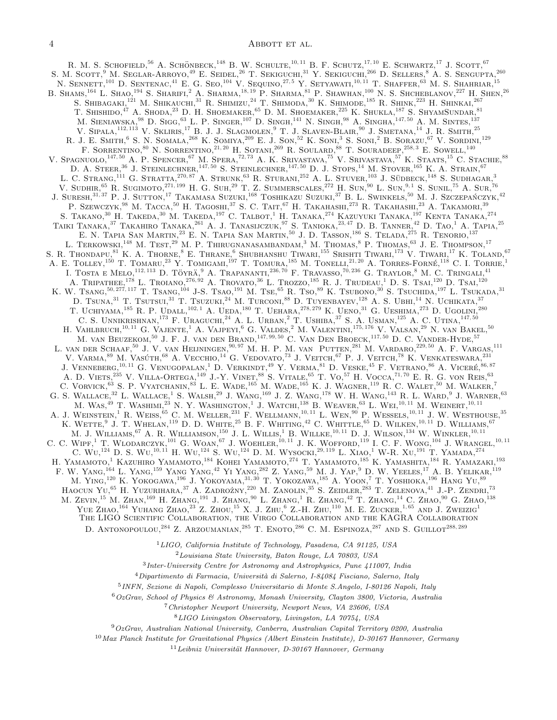R. M. S. SCHOFIELD,<sup>56</sup> A. SCHÖNBECK,<sup>148</sup> B. W. SCHULTE,<sup>10,11</sup> B. F. SCHUTZ,<sup>17,10</sup> E. SCHWARTZ,<sup>17</sup> J. SCOTT,<sup>67</sup> S. M. SCOTT.<sup>9</sup> M. SEGLAR-ARROYO,<sup>49</sup> E. SEIDEL,<sup>26</sup> T. SEKIGUCHI,<sup>31</sup> Y. SEKIGUCHI,<sup>266</sup> D. SELLERS,<sup>8</sup> A. S. SENGUPTA,<sup>260</sup> N. SENNETT,<sup>101</sup> D. SENTENAC,<sup>41</sup> E. G. SEO,<sup>104</sup> V. SEQUINO,<sup>27,5</sup> Y. SETYAWATI,<sup>10,11</sup> T. SHAFFER,<sup>63</sup> M. S. SHAHRIAR,<sup>15</sup> B. SHAMS,<sup>164</sup> L. SHAO,<sup>194</sup> S. SHARIFI,<sup>2</sup> A. SHARMA,<sup>18,19</sup> P. SHARMA,<sup>81</sup> P. SHAWHAN,<sup>100</sup> N. S. SHCHEBLANOV,<sup>227</sup> H. SHEN,<sup>26</sup> S. SHIBAGAKI,<sup>121</sup> M. SHIKAUCHI,<sup>31</sup> R. SHIMIZU,<sup>24</sup> T. SHIMODA,<sup>30</sup> K. SHIMODE,<sup>185</sup> R. SHINK,<sup>223</sup> H. SHINKAI,<sup>267</sup> T. SHISHIDO,<sup>47</sup> A. SHODA,<sup>23</sup> D. H. SHOEMAKER,<sup>65</sup> D. M. SHOEMAKER,<sup>225</sup> K. SHUKLA,<sup>187</sup> S. SHYAMSUNDAR,<sup>81</sup> M. SIENIAWSKA.<sup>98</sup> D. Sigg.<sup>63</sup> L. P. Singer,<sup>107</sup> D. Singh,<sup>141</sup> N. Singh,<sup>98</sup> A. Singha,<sup>147,50</sup> A. M. Sintes,<sup>137</sup> V. Sipala,112, 113 V. Skliris,<sup>17</sup> B. J. J. Slagmolen,<sup>9</sup> T. J. Slaven-Blair,<sup>90</sup> J. Smetana,<sup>14</sup> J. R. Smith,<sup>25</sup> R. J. E. SMITH,<sup>6</sup> S. N. SOMALA,<sup>268</sup> K. SOMIYA,<sup>209</sup> E. J. SON,<sup>52</sup> K. SONL<sup>3</sup> S. SONL<sup>2</sup> B. SORAZU,<sup>67</sup> V. SORDINL<sup>129</sup> F. SORRENTINO,<sup>80</sup> N. SORRENTINO,<sup>21, 20</sup> H. SOTANI,<sup>269</sup> R. SOULARD,<sup>88</sup> T. SOURADEEP,<sup>258, 3</sup> E. SOWELL,<sup>140</sup> V. Spagnuolo,<sup>147, 50</sup> A. P. Spencer, <sup>67</sup> M. Spera,<sup>72, 73</sup> A. K. Srivastava,<sup>75</sup> V. Srivastava,<sup>57</sup> K. Staats,<sup>15</sup> C. Stachie,<sup>88</sup> D. A. STEER,<sup>36</sup> J. STEINLECHNER,<sup>147,50</sup> S. STEINLECHNER,<sup>147,50</sup> D. J. STOPS,<sup>14</sup> M. STOVER,<sup>165</sup> K. A. STRAIN,<sup>67</sup> L. C. STRANG,<sup>111</sup> G. STRATTA,<sup>270,87</sup> A. STRUNK,<sup>63</sup> R. STURANL<sup>252</sup> A. L. STUVER,<sup>103</sup> J. SÜDBECK,<sup>148</sup> S. SUDHAGAR.<sup>3</sup> V. SUDHIR, <sup>65</sup> R. SUGIMOTO, <sup>271, 199</sup> H. G. SUH, <sup>29</sup> T. Z. SUMMERSCALES, <sup>272</sup> H. SUN, <sup>90</sup> L. SUN, <sup>9, 1</sup> S. SUNIL, <sup>75</sup> A. SUR, <sup>76</sup> J. SURESH,<sup>31, 37</sup> P. J. SUTTON.<sup>17</sup> TAKAMASA SUZUKI,<sup>168</sup> TOSHIKAZU SUZUKI,<sup>37</sup> B. L. SWINKELS,<sup>50</sup> M. J. SZCZEPANCZYK,<sup>42</sup> P. Szewczyk.<sup>98</sup> M. Tacca,<sup>50</sup> H. Tagoshi,<sup>37</sup> S. C. Tait,<sup>67</sup> H. Takahashi,<sup>273</sup> R. Takahashi,<sup>23</sup> A. Takamori,<sup>39</sup> S. Takano, $30\,$  H. Takeda, $30\,$  M. Takeda, $^{197}$  C. Talbot,<sup>1</sup> H. Tanaka, $^{274}$  Kazuyuki Tanaka, $^{197}$  Kenta Tanaka, $^{274}$ TAIKI TANAKA, <sup>37</sup> TAKAHIRO TANAKA, <sup>261</sup> A. J. TANASIJCZUK, <sup>97</sup> S. TANIOKA, <sup>23, 47</sup> D. B. TANNER, <sup>42</sup> D. Tao,<sup>1</sup> A. Tapia, <sup>25</sup> E. N. TAPIA SAN MARTIN,<sup>23</sup> E. N. TAPIA SAN MARTIN,<sup>50</sup> J. D. TASSON,<sup>186</sup> S. TELADA,<sup>275</sup> R. TENORIO,<sup>137</sup> L. Terkowski,<sup>148</sup> M. Test,<sup>29</sup> M. P. Thirugnanasambandam,<sup>3</sup> M. Thomas,<sup>8</sup> P. Thomas,<sup>63</sup> J. E. Thompson,<sup>17</sup> S. R. Thondapu, $^{81}$ K. A. Thorne, $^8$  E. Thrane, $^6$  Shubhanshu Tiwari, $^{155}$  Srishti Tiwari, $^{173}$  V. Tiwari, $^{17}$  K. Toland, $^{67}$ A. E. TOLLEY.<sup>150</sup> T. TOMARU.<sup>23</sup> Y. TOMIGAMI.<sup>197</sup> T. TOMURA.<sup>185</sup> M. TONELLI.<sup>21, 20</sup> A. TORRES-FORNÉ,<sup>118</sup> C. I. TORRIE.<sup>1</sup> I. TOSTA E MELO,<sup>112, 113</sup> D. TÖYRÄ,<sup>9</sup> A. TRAPANANTI.<sup>236, 70</sup> F. TRAVASSO, <sup>70, 236</sup> G. TRAYLOR,<sup>8</sup> M. C. TRINGALI.<sup>41</sup> A. TRIPATHEE,  $^{178}$  L. TROIANO,  $^{276,92}$  A. Trovato,  $^{36}$  L. Trozzo,  $^{185}$  R. J. Trudeau, <sup>1</sup> D. S. Tsal,  $^{120}$  D. Tsal,  $^{120}$ K. W. Tsang, $^{50,277,117}$  T. Tsang, $^{104}$  J-S. Tsao, $^{191}$  M. Tse, $^{65}$  R. Tso, $^{89}$  K. Tsubono, $^{30}$  S. Tsuchida, $^{197}$  L. Tsukada, $^{31}$ D. Tsuna,<sup>31</sup> T. Tsutsui,<sup>31</sup> T. Tsuzuki,<sup>24</sup> M. Turconi,<sup>88</sup> D. Tuyenbayev,<sup>128</sup> A. S. Ubhi,<sup>14</sup> N. Uchikata,<sup>37</sup> T. UCHIYAMA,  $^{185}$  R. P. UDALL,  $^{102,1}$  A. UEDA,  $^{180}$  T. UEHARA,  $^{278,279}$  K. UENO,  $^{31}$  G. UESHIMA,  $^{273}$  D. UGOLINI,  $^{280}$ C. S. UNNIKRISHNAN,<sup>173</sup> F. URAGUCHI,<sup>24</sup> A. L. URBAN,<sup>2</sup> T. USHIBA,<sup>37</sup> S. A. USMAN,<sup>125</sup> A. C. UTINA,<sup>147,50</sup> H. Vahlbruch,10, 11 G. Vajente,<sup>1</sup> A. Vajpeyi,<sup>6</sup> G. Valdes,<sup>2</sup> M. Valentini,175, 176 V. Valsan,<sup>29</sup> N. van Bakel,<sup>50</sup> M. VAN BEUZEKOM,<sup>50</sup> J. F. J. van den Brand,<sup>147,99,50</sup> C. Van Den Broeck,<sup>117,50</sup> D. C. Vander-Hyde,<sup>57</sup> L. VAN DER SCHAAF,<sup>50</sup> J. V. van Heijningen,<sup>90, 97</sup> M. H. P. M. van Putten,<sup>281</sup> M. Vardaro,<sup>229, 50</sup> A. F. Vargas,<sup>111</sup> V. VARMA.<sup>89</sup> M. VASÚTH, <sup>68</sup> A. VECCHIO,  $^{14}$  G. Vedovato,<sup>73</sup> J. Veitch,<sup>67</sup> P. J. Veitch,<sup>78</sup> K. Venkateswara,<sup>231</sup> J. VENNEBERG,  $^{10,11}$  G. VENUGOPALAN,  $^1$  D. VERKINDT,  $^{49}$  Y. VERMA,  $^{81}$  D. VESKE,  $^{45}$  F. VETRANO,  $^{86}$  A. VICERÉ,  $^{86,87}$ A. D. VIETS,<sup>235</sup> V. VILLA-ORTEGA,<sup>149</sup> J.-Y. VINET,<sup>88</sup> S. VITALE,<sup>65</sup> T. VO,<sup>57</sup> H. VOCCA,<sup>71,70</sup> E. R. G. von Reis,<sup>63</sup> C. VORVICK,  $^{63}$  S. P. VYATCHANIN,  $^{83}$  L. E. WADE,  $^{165}$  M. WADE,  $^{165}$  K. J. WAGNER,  $^{119}$  R. C. WALET,  $^{50}$  M. WALKER,  $^7$ G. S. WALLACE,  $32$  L. WALLACE,  $1$  S. Walsh,  $29$  J. Wang,  $169$  J. Z. Wang,  $178$  W. H. Wang,  $143$  R. L. Ward,  $9$  J. Warner,  $63$ M. WAS.<sup>49</sup> T. WASHIMI.<sup>23</sup> N. Y. WASHINGTON,<sup>1</sup> J. WATCHI,<sup>138</sup> B. WEAVER,<sup>63</sup> L. WEI,<sup>10, 11</sup> M. WEINERT,<sup>10, 11</sup> A. J. WEINSTEIN,<sup>1</sup> R. WEISS,<sup>65</sup> C. M. WELLER,<sup>231</sup> F. WELLMANN,<sup>10,11</sup> L. WEN,<sup>90</sup> P. WESSELS,<sup>10,11</sup> J. W. WESTHOUSE,<sup>35</sup> K. WETTE, <sup>9</sup> J. T. WHELAN,<sup>119</sup> D. D. WHITE,<sup>25</sup> B. F. WHITING,<sup>42</sup> C. WHITTLE,<sup>65</sup> D. WILKEN,<sup>10,11</sup> D. WILLIAMS,<sup>67</sup> M. J. Williams,<sup>67</sup> A. R. Williamson,<sup>150</sup> J. L. Willis,<sup>1</sup> B. Willke,10, 11 D. J. Wilson,<sup>134</sup> W. Winkler,10, 11 C. C. WIPF, <sup>1</sup> T. WLODARCZYK,<sup>101</sup> G. WOAN,<sup>67</sup> J. WOEHLER,<sup>10,11</sup> J. K. WOFFORD,<sup>119</sup> I. C. F. WONG,<sup>104</sup> J. WRANGEL,<sup>10,11</sup> C. WU,<sup>124</sup> D. S. WU,<sup>10, 11</sup> H. WU,<sup>124</sup> S. WU,<sup>124</sup> D. M. WYSOCKI,<sup>29, 119</sup> L. XIAO,<sup>1</sup> W-R. XU,<sup>191</sup> T. YAMADA,<sup>274</sup> H. YAMAMOTO,<sup>1</sup> KAZUHIRO YAMAMOTO,<sup>184</sup> KOHEI YAMAMOTO,<sup>274</sup> T. YAMAMOTO,<sup>185</sup> K. YAMASHITA,<sup>184</sup> R. YAMAZAKI,<sup>193</sup> F. W. YANG,<sup>164</sup> L. YANG,<sup>159</sup> YANG YANG,<sup>42</sup> YI YANG,<sup>282</sup> Z. YANG,<sup>59</sup> M. J. YAP,<sup>9</sup> D. W. YEELES,<sup>17</sup> A. B. YELIKAR,<sup>119</sup> M. YING,<sup>120</sup> K. YOKOGAWA,<sup>196</sup> J. YOKOYAMA,<sup>31,30</sup> T. YOKOZAWA,<sup>185</sup> A. YOON,<sup>7</sup> T. YOSHIOKA,<sup>196</sup> HANG YU,<sup>89</sup> HAOCUN YU,<sup>65</sup> H. YUZURIHARA,<sup>37</sup> A. ZADROŻNY,<sup>220</sup> M. ZANOLIN,<sup>35</sup> S. ZEIDLER,<sup>283</sup> T. ZELENOVA,<sup>41</sup> J.-P. ZENDRI,<sup>73</sup> M. ZEVIN,<sup>15</sup> M. ZHAN,<sup>169</sup> H. ZHANG,<sup>191</sup> J. ZHANG,<sup>90</sup> L. ZHANG,<sup>1</sup> R. ZHANG,<sup>42</sup> T. ZHANG,<sup>14</sup> C. ZHAO,<sup>90</sup> G. ZHAO,<sup>138</sup> YUE ZHAO,<sup>164</sup> YUHANG ZHAO,<sup>23</sup> Z. ZHOU,<sup>15</sup> X. J. ZHU,<sup>6</sup> Z.-H. ZHU,<sup>110</sup> M. E. ZUCKER,<sup>1,65</sup> AND J. ZWEIZIG<sup>1</sup> The LIGO Scientific Collaboration, the Virgo Collaboration and the KAGRA Collaboration D. ANTONOPOULOU,<sup>284</sup> Z. ARZOUMANIAN,<sup>285</sup> T. ENOTO,<sup>286</sup> C. M. ESPINOZA,<sup>287</sup> AND S. GUILLOT<sup>288, 289</sup>

 $1$ LIGO, California Institute of Technology, Pasadena, CA 91125, USA

<sup>2</sup>Louisiana State University, Baton Rouge, LA 70803, USA

<sup>3</sup>Inter-University Centre for Astronomy and Astrophysics, Pune 411007, India

 $4$ Dipartimento di Farmacia, Università di Salerno, I-84084 Fisciano, Salerno, Italy

5 INFN, Sezione di Napoli, Complesso Universitario di Monte S.Angelo, I-80126 Napoli, Italy

 $6$ OzGrav, School of Physics & Astronomy, Monash University, Clayton 3800, Victoria, Australia

<sup>7</sup>Christopher Newport University, Newport News, VA 23606, USA

<sup>8</sup>LIGO Livingston Observatory, Livingston, LA 70754, USA

<sup>9</sup>OzGrav, Australian National University, Canberra, Australian Capital Territory 0200, Australia

 $10$  Max Planck Institute for Gravitational Physics (Albert Einstein Institute), D-30167 Hannover, Germany

 $11$ Leibniz Universität Hannover, D-30167 Hannover, Germany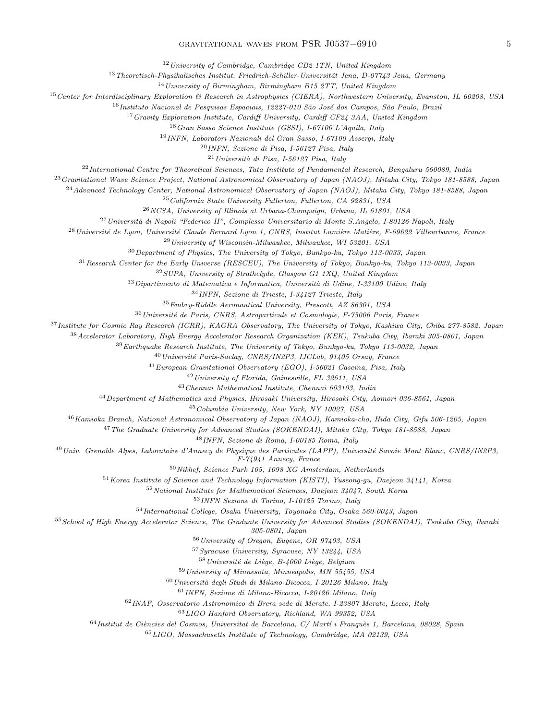### GRAVITATIONAL WAVES FROM PSR J0537–6910 5

University of Cambridge, Cambridge CB2 1TN, United Kingdom

13 Theoretisch-Physikalisches Institut, Friedrich-Schiller-Universität Jena, D-07743 Jena, Germany

University of Birmingham, Birmingham B15 2TT, United Kingdom

Center for Interdisciplinary Exploration & Research in Astrophysics (CIERA), Northwestern University, Evanston, IL 60208, USA

<sup>16</sup> Instituto Nacional de Pesquisas Espaciais, 12227-010 São José dos Campos, São Paulo, Brazil

<sup>17</sup> Gravity Exploration Institute, Cardiff University, Cardiff CF24 3AA, United Kingdom

Gran Sasso Science Institute (GSSI), I-67100 L'Aquila, Italy

INFN, Laboratori Nazionali del Gran Sasso, I-67100 Assergi, Italy

INFN, Sezione di Pisa, I-56127 Pisa, Italy

 $^{21}$ Università di Pisa, I-56127 Pisa, Italy

International Centre for Theoretical Sciences, Tata Institute of Fundamental Research, Bengaluru 560089, India

<sup>23</sup> Gravitational Wave Science Project, National Astronomical Observatory of Japan (NAOJ), Mitaka City, Tokyo 181-8588, Japan

Advanced Technology Center, National Astronomical Observatory of Japan (NAOJ), Mitaka City, Tokyo 181-8588, Japan

California State University Fullerton, Fullerton, CA 92831, USA

NCSA, University of Illinois at Urbana-Champaign, Urbana, IL 61801, USA

<sup>27</sup> Università di Napoli "Federico II", Complesso Universitario di Monte S.Angelo, I-80126 Napoli, Italy

 $^{28}$ Université de Lyon, Université Claude Bernard Lyon 1, CNRS, Institut Lumière Matière, F-69622 Villeurbanne, France

University of Wisconsin-Milwaukee, Milwaukee, WI 53201, USA

Department of Physics, The University of Tokyo, Bunkyo-ku, Tokyo 113-0033, Japan

Research Center for the Early Universe (RESCEU), The University of Tokyo, Bunkyo-ku, Tokyo 113-0033, Japan

SUPA, University of Strathclyde, Glasgow G1 1XQ, United Kingdom

Dipartimento di Matematica e Informatica, Università di Udine, I-33100 Udine, Italy

INFN, Sezione di Trieste, I-34127 Trieste, Italy

Embry-Riddle Aeronautical University, Prescott, AZ 86301, USA

Universit´e de Paris, CNRS, Astroparticule et Cosmologie, F-75006 Paris, France

Institute for Cosmic Ray Research (ICRR), KAGRA Observatory, The University of Tokyo, Kashiwa City, Chiba 277-8582, Japan

Accelerator Laboratory, High Energy Accelerator Research Organization (KEK), Tsukuba City, Ibaraki 305-0801, Japan

Earthquake Research Institute, The University of Tokyo, Bunkyo-ku, Tokyo 113-0032, Japan

<sup>40</sup> Université Paris-Saclay, CNRS/IN2P3, IJCLab, 91405 Orsay, France

European Gravitational Observatory (EGO), I-56021 Cascina, Pisa, Italy

University of Florida, Gainesville, FL 32611, USA

Chennai Mathematical Institute, Chennai 603103, India

Department of Mathematics and Physics, Hirosaki University, Hirosaki City, Aomori 036-8561, Japan

Columbia University, New York, NY 10027, USA

<sup>46</sup> Kamioka Branch, National Astronomical Observatory of Japan (NAOJ), Kamioka-cho, Hida City, Gifu 506-1205, Japan

The Graduate University for Advanced Studies (SOKENDAI), Mitaka City, Tokyo 181-8588, Japan

INFN, Sezione di Roma, I-00185 Roma, Italy

<sup>49</sup> Univ. Grenoble Alpes, Laboratoire d'Annecy de Physique des Particules (LAPP), Université Savoie Mont Blanc, CNRS/IN2P3, F-74941 Annecy, France

Nikhef, Science Park 105, 1098 XG Amsterdam, Netherlands

<sup>51</sup> Korea Institute of Science and Technology Information (KISTI), Yuseong-gu, Daejeon 34141, Korea

National Institute for Mathematical Sciences, Daejeon 34047, South Korea

INFN Sezione di Torino, I-10125 Torino, Italy

International College, Osaka University, Toyonaka City, Osaka 560-0043, Japan

<sup>55</sup>School of High Energy Accelerator Science, The Graduate University for Advanced Studies (SOKENDAI), Tsukuba City, Ibaraki

305-0801, Japan

University of Oregon, Eugene, OR 97403, USA

Syracuse University, Syracuse, NY 13244, USA

Université de Liège, B-4000 Liège, Belgium

University of Minnesota, Minneapolis, MN 55455, USA

Università degli Studi di Milano-Bicocca, I-20126 Milano, Italy

INFN, Sezione di Milano-Bicocca, I-20126 Milano, Italy

INAF, Osservatorio Astronomico di Brera sede di Merate, I-23807 Merate, Lecco, Italy

LIGO Hanford Observatory, Richland, WA 99352, USA

Institut de Ciències del Cosmos, Universitat de Barcelona, C/ Martí i Franquès 1, Barcelona, 08028, Spain

LIGO, Massachusetts Institute of Technology, Cambridge, MA 02139, USA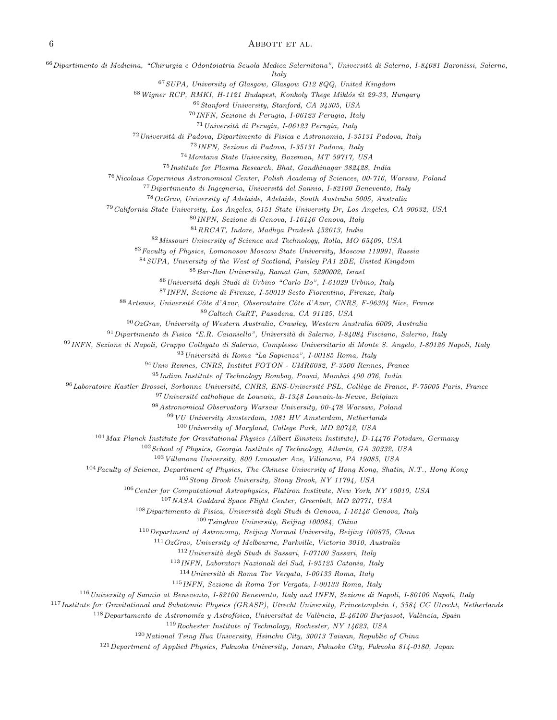### **ABBOTT ET AL.**

Dipartimento di Medicina, "Chirurgia e Odontoiatria Scuola Medica Salernitana", Università di Salerno, I-84081 Baronissi, Salerno, Italy

SUPA, University of Glasgow, Glasgow G12 8QQ, United Kingdom

Wigner RCP, RMKI, H-1121 Budapest, Konkoly Thege Miklós út 29-33, Hungary

Stanford University, Stanford, CA 94305, USA

INFN, Sezione di Perugia, I-06123 Perugia, Italy

Universit`a di Perugia, I-06123 Perugia, Italy

Universit`a di Padova, Dipartimento di Fisica e Astronomia, I-35131 Padova, Italy

INFN, Sezione di Padova, I-35131 Padova, Italy

Montana State University, Bozeman, MT 59717, USA

Institute for Plasma Research, Bhat, Gandhinagar 382428, India

Nicolaus Copernicus Astronomical Center, Polish Academy of Sciences, 00-716, Warsaw, Poland

<sup>77</sup> Dipartimento di Ingegneria, Università del Sannio, I-82100 Benevento, Italy

OzGrav, University of Adelaide, Adelaide, South Australia 5005, Australia

California State University, Los Angeles, 5151 State University Dr, Los Angeles, CA 90032, USA

INFN, Sezione di Genova, I-16146 Genova, Italy

RRCAT, Indore, Madhya Pradesh 452013, India

Missouri University of Science and Technology, Rolla, MO 65409, USA

Faculty of Physics, Lomonosov Moscow State University, Moscow 119991, Russia

SUPA, University of the West of Scotland, Paisley PA1 2BE, United Kingdom

Bar-Ilan University, Ramat Gan, 5290002, Israel

Universit`a degli Studi di Urbino "Carlo Bo", I-61029 Urbino, Italy

INFN, Sezione di Firenze, I-50019 Sesto Fiorentino, Firenze, Italy

88 Artemis, Université Côte d'Azur, Observatoire Côte d'Azur, CNRS, F-06304 Nice, France

Caltech CaRT, Pasadena, CA 91125, USA

OzGrav, University of Western Australia, Crawley, Western Australia 6009, Australia

Dipartimento di Fisica "E.R. Caianiello", Università di Salerno, I-84084 Fisciano, Salerno, Italy

INFN, Sezione di Napoli, Gruppo Collegato di Salerno, Complesso Universitario di Monte S. Angelo, I-80126 Napoli, Italy

Universit`a di Roma "La Sapienza", I-00185 Roma, Italy

Univ Rennes, CNRS, Institut FOTON - UMR6082, F-3500 Rennes, France

Indian Institute of Technology Bombay, Powai, Mumbai 400 076, India

96 Laboratoire Kastler Brossel, Sorbonne Université, CNRS, ENS-Université PSL, Collège de France, F-75005 Paris, France

Université catholique de Louvain, B-1348 Louvain-la-Neuve, Belgium

Astronomical Observatory Warsaw University, 00-478 Warsaw, Poland

VU University Amsterdam, 1081 HV Amsterdam, Netherlands

University of Maryland, College Park, MD 20742, USA

Max Planck Institute for Gravitational Physics (Albert Einstein Institute), D-14476 Potsdam, Germany

School of Physics, Georgia Institute of Technology, Atlanta, GA 30332, USA

Villanova University, 800 Lancaster Ave, Villanova, PA 19085, USA

Faculty of Science, Department of Physics, The Chinese University of Hong Kong, Shatin, N.T., Hong Kong

Stony Brook University, Stony Brook, NY 11794, USA

Center for Computational Astrophysics, Flatiron Institute, New York, NY 10010, USA

NASA Goddard Space Flight Center, Greenbelt, MD 20771, USA

Dipartimento di Fisica, Università degli Studi di Genova, I-16146 Genova, Italy

Tsinghua University, Beijing 100084, China

Department of Astronomy, Beijing Normal University, Beijing 100875, China

 $111OzGrav$ , University of Melbourne, Parkville, Victoria 3010, Australia

Universit`a degli Studi di Sassari, I-07100 Sassari, Italy

INFN, Laboratori Nazionali del Sud, I-95125 Catania, Italy

Università di Roma Tor Vergata, I-00133 Roma, Italy

INFN, Sezione di Roma Tor Vergata, I-00133 Roma, Italy

University of Sannio at Benevento, I-82100 Benevento, Italy and INFN, Sezione di Napoli, I-80100 Napoli, Italy

Institute for Gravitational and Subatomic Physics (GRASP), Utrecht University, Princetonplein 1, 3584 CC Utrecht, Netherlands

Departamento de Astronomía y Astrofísica, Universitat de València, E-46100 Burjassot, València, Spain

Rochester Institute of Technology, Rochester, NY 14623, USA

National Tsing Hua University, Hsinchu City, 30013 Taiwan, Republic of China

Department of Applied Physics, Fukuoka University, Jonan, Fukuoka City, Fukuoka 814-0180, Japan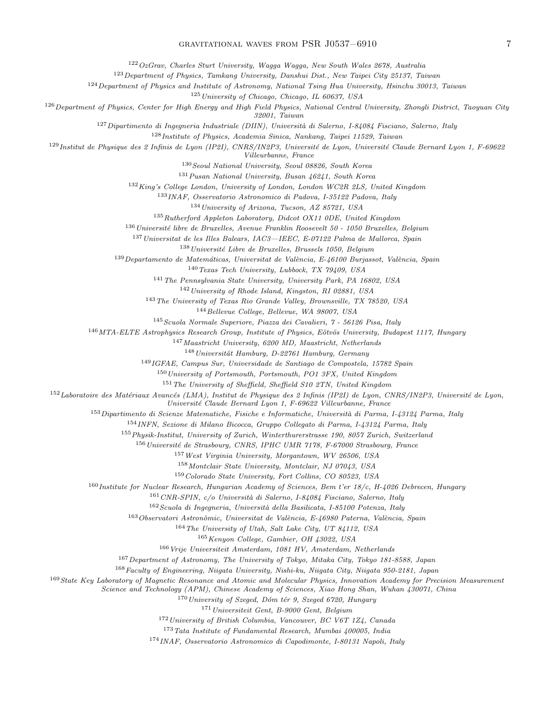### GRAVITATIONAL WAVES FROM PSR J0537–6910 7

OzGrav, Charles Sturt University, Wagga Wagga, New South Wales 2678, Australia

Department of Physics, Tamkang University, Danshui Dist., New Taipei City 25137, Taiwan

Department of Physics and Institute of Astronomy, National Tsing Hua University, Hsinchu 30013, Taiwan

University of Chicago, Chicago, IL 60637, USA

<sup>126</sup>Department of Physics, Center for High Energy and High Field Physics, National Central University, Zhongli District, Taoyuan City 32001, Taiwan

Dipartimento di Ingegneria Industriale (DIIN), Università di Salerno, I-84084 Fisciano, Salerno, Italy

Institute of Physics, Academia Sinica, Nankang, Taipei 11529, Taiwan

Institut de Physique des 2 Infinis de Lyon (IP2I), CNRS/IN2P3, Université de Lyon, Université Claude Bernard Lyon 1, F-69622

Villeurbanne, France

Seoul National University, Seoul 08826, South Korea

Pusan National University, Busan 46241, South Korea

King's College London, University of London, London WC2R 2LS, United Kingdom

INAF, Osservatorio Astronomico di Padova, I-35122 Padova, Italy

University of Arizona, Tucson, AZ 85721, USA

Rutherford Appleton Laboratory, Didcot OX11 0DE, United Kingdom

Université libre de Bruxelles, Avenue Franklin Roosevelt 50 - 1050 Bruxelles, Belgium

Universitat de les Illes Balears, IAC3—IEEC, E-07122 Palma de Mallorca, Spain

 $^{138}$ Université Libre de Bruxelles, Brussels 1050, Belgium

Departamento de Matemáticas, Universitat de València, E-46100 Burjassot, València, Spain

Texas Tech University, Lubbock, TX 79409, USA

<sup>141</sup> The Pennsylvania State University, University Park, PA 16802, USA

University of Rhode Island, Kingston, RI 02881, USA

The University of Texas Rio Grande Valley, Brownsville, TX 78520, USA

Bellevue College, Bellevue, WA 98007, USA

Scuola Normale Superiore, Piazza dei Cavalieri, 7 - 56126 Pisa, Italy

146 MTA-ELTE Astrophysics Research Group, Institute of Physics, Eötvös University, Budapest 1117, Hungary

Maastricht University, 6200 MD, Maastricht, Netherlands

Universität Hamburg, D-22761 Hamburg, Germany

IGFAE, Campus Sur, Universidade de Santiago de Compostela, 15782 Spain

University of Portsmouth, Portsmouth, PO1 3FX, United Kingdom

The University of Sheffield, Sheffield S10 2TN, United Kingdom

<sup>152</sup>Laboratoire des Matériaux Avancés (LMA), Institut de Physique des 2 Infinis (IP2I) de Lyon, CNRS/IN2P3, Université de Lyon,

Université Claude Bernard Lyon 1, F-69622 Villeurbanne, France

 $^{153}$ Dipartimento di Scienze Matematiche, Fisiche e Informatiche, Università di Parma, I-43124 Parma, Italy

INFN, Sezione di Milano Bicocca, Gruppo Collegato di Parma, I-43124 Parma, Italy

<sup>155</sup> Physik-Institut, University of Zurich, Winterthurerstrasse 190, 8057 Zurich, Switzerland

 $^{156}\,Université$  de Strasbourg, CNRS, IPHC UMR 7178, F-67000 Strasbourg, France

West Virginia University, Morgantown, WV 26506, USA

Montclair State University, Montclair, NJ 07043, USA

Colorado State University, Fort Collins, CO 80523, USA

Institute for Nuclear Research, Hungarian Academy of Sciences, Bem t'er 18/c, H-4026 Debrecen, Hungary

<sup>161</sup> CNR-SPIN, c/o Università di Salerno, I-84084 Fisciano, Salerno, Italy

Scuola di Ingegneria, Università della Basilicata, I-85100 Potenza, Italy

<sup>163</sup> Observatori Astronòmic, Universitat de València, E-46980 Paterna, València, Spain

The University of Utah, Salt Lake City, UT 84112, USA

Kenyon College, Gambier, OH 43022, USA

Vrije Universiteit Amsterdam, 1081 HV, Amsterdam, Netherlands

Department of Astronomy, The University of Tokyo, Mitaka City, Tokyo 181-8588, Japan

Faculty of Engineering, Niigata University, Nishi-ku, Niigata City, Niigata 950-2181, Japan

State Key Laboratory of Magnetic Resonance and Atomic and Molecular Physics, Innovation Academy for Precision Measurement

Science and Technology (APM), Chinese Academy of Sciences, Xiao Hong Shan, Wuhan 430071, China

University of Szeged, Dóm tér 9, Szeged 6720, Hungary

Universiteit Gent, B-9000 Gent, Belgium

University of British Columbia, Vancouver, BC V6T 1Z4, Canada

Tata Institute of Fundamental Research, Mumbai 400005, India

INAF, Osservatorio Astronomico di Capodimonte, I-80131 Napoli, Italy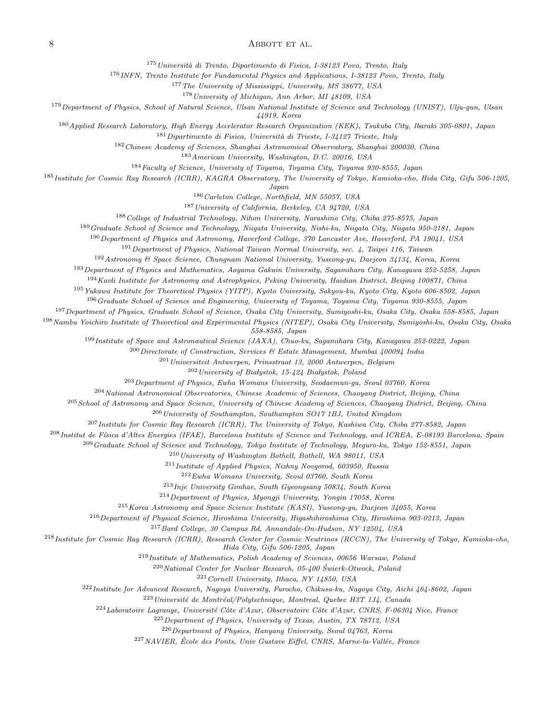## **ABBOTT ET AL.**

Università di Trento, Dipartimento di Fisica, I-38123 Povo, Trento, Italy

INFN, Trento Institute for Fundamental Physics and Applications, I-38123 Povo, Trento, Italy

The University of Mississippi, University, MS 38677, USA

University of Michigan, Ann Arbor, MI 48109, USA

Department of Physics, School of Natural Science, Ulsan National Institute of Science and Technology (UNIST), Ulju-gun, Ulsan

44919, Korea

Applied Research Laboratory, High Energy Accelerator Research Organization (KEK), Tsukuba City, Ibaraki 305-0801, Japan

Dipartimento di Fisica, Università di Trieste, I-34127 Trieste, Italy

<sup>182</sup> Chinese Academy of Sciences, Shanghai Astronomical Observatory, Shanghai 200030, China

American University, Washington, D.C. 20016, USA

Faculty of Science, University of Toyama, Toyama City, Toyama 930-8555, Japan

Institute for Cosmic Ray Research (ICRR), KAGRA Observatory, The University of Tokyo, Kamioka-cho, Hida City, Gifu 506-1205,

Japan

Carleton College, Northfield, MN 55057, USA

University of California, Berkeley, CA 94720, USA

College of Industrial Technology, Nihon University, Narashino City, Chiba 275-8575, Japan

Graduate School of Science and Technology, Niigata University, Nishi-ku, Niigata City, Niigata 950-2181, Japan

Department of Physics and Astronomy, Haverford College, 370 Lancaster Ave, Haverford, PA 19041, USA

Department of Physics, National Taiwan Normal University, sec. 4, Taipei 116, Taiwan

Astronomy & Space Science, Chungnam National University, Yuseong-gu, Daejeon 34134, Korea, Korea

Department of Physics and Mathematics, Aoyama Gakuin University, Sagamihara City, Kanagawa 252-5258, Japan

Kavli Institute for Astronomy and Astrophysics, Peking University, Haidian District, Beijing 100871, China

Yukawa Institute for Theoretical Physics (YITP), Kyoto University, Sakyou-ku, Kyoto City, Kyoto 606-8502, Japan

Graduate School of Science and Engineering, University of Toyama, Toyama City, Toyama 930-8555, Japan

Department of Physics, Graduate School of Science, Osaka City University, Sumiyoshi-ku, Osaka City, Osaka 558-8585, Japan

Nambu Yoichiro Institute of Theoretical and Experimental Physics (NITEP), Osaka City University, Sumiyoshi-ku, Osaka City, Osaka

558-8585, Japan

Institute of Space and Astronautical Science (JAXA), Chuo-ku, Sagamihara City, Kanagawa 252-0222, Japan

 $^{200}$ Directorate of Construction, Services & Estate Management, Mumbai 400094 India

 $^{201}$ Universiteit Antwerpen, Prinsstraat 13, 2000 Antwerpen, Belgium

University of Białystok, 15-424 Białystok, Poland

Department of Physics, Ewha Womans University, Seodaemun-gu, Seoul 03760, Korea

<sup>204</sup> National Astronomical Observatories, Chinese Academic of Sciences, Chaoyang District, Beijing, China

School of Astronomy and Space Science, University of Chinese Academy of Sciences, Chaoyang District, Beijing, China

 $^{206}$ University of Southampton, Southampton SO17 1BJ, United Kingdom

Institute for Cosmic Ray Research (ICRR), The University of Tokyo, Kashiwa City, Chiba 277-8582, Japan

 $^{208}$ Institut de Física d'Altes Energies (IFAE), Barcelona Institute of Science and Technology, and ICREA, E-08193 Barcelona, Spain

Graduate School of Science and Technology, Tokyo Institute of Technology, Meguro-ku, Tokyo 152-8551, Japan

 $^{210}$  University of Washington Bothell, Bothell, WA 98011, USA

Institute of Applied Physics, Nizhny Novgorod, 603950, Russia

 $^{212}Ewha$  Womans University, Seoul 03760, South Korea

Inje University Gimhae, South Gyeongsang 50834, South Korea

Department of Physics, Myongji University, Yongin 17058, Korea

Korea Astronomy and Space Science Institute (KASI), Yuseong-gu, Daejeon 34055, Korea

Department of Physical Science, Hiroshima University, Higashihiroshima City, Hiroshima 903-0213, Japan

Bard College, 30 Campus Rd, Annandale-On-Hudson, NY 12504, USA

Institute for Cosmic Ray Research (ICRR), Research Center for Cosmic Neutrinos (RCCN), The University of Tokyo, Kamioka-cho,

Hida City, Gifu 506-1205, Japan

Institute of Mathematics, Polish Academy of Sciences, 00656 Warsaw, Poland

 $^{220}$ National Center for Nuclear Research, 05-400 Świerk-Otwock, Poland

Cornell University, Ithaca, NY 14850, USA

Institute for Advanced Research, Nagoya University, Furocho, Chikusa-ku, Nagoya City, Aichi 464-8602, Japan

 $^{223}\!$ Université de Montréal/Polytechnique, Montreal, Quebec H3T 1J4, Canada

 $^{224}$ Laboratoire Lagrange, Université Côte d'Azur, Observatoire Côte d'Azur, CNRS, F-06304 Nice, France

Department of Physics, University of Texas, Austin, TX 78712, USA

 $^{226}$ Department of Physics, Hanyang University, Seoul 04763, Korea

<sup>227</sup> NAVIER, École des Ponts, Univ Gustave Eiffel, CNRS, Marne-la-Vallée, France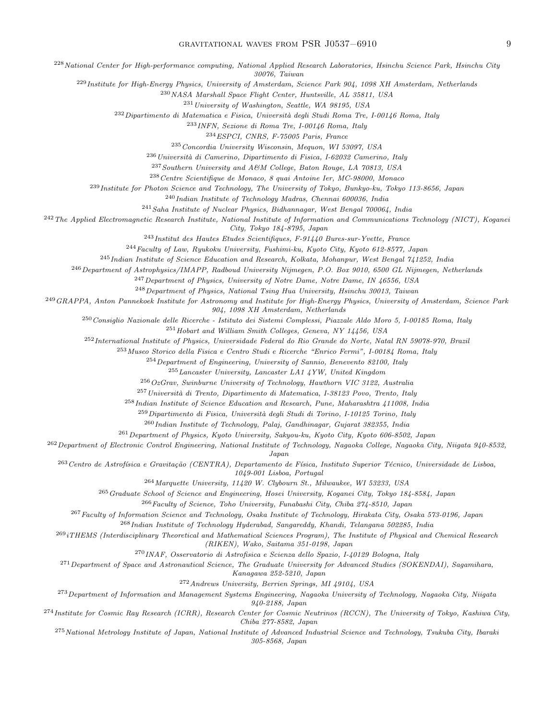$^{228}$ National Center for High-performance computing, National Applied Research Laboratories, Hsinchu Science Park, Hsinchu City

30076, Taiwan

<sup>229</sup>Institute for High-Energy Physics, University of Amsterdam, Science Park 904, 1098 XH Amsterdam, Netherlands

<sup>230</sup>NASA Marshall Space Flight Center, Huntsville, AL 35811, USA

<sup>231</sup>University of Washington, Seattle, WA 98195, USA

 $^{232}$ Dipartimento di Matematica e Fisica, Università degli Studi Roma Tre, I-00146 Roma, Italy

<sup>233</sup>INFN, Sezione di Roma Tre, I-00146 Roma, Italy

<sup>234</sup>ESPCI, CNRS, F-75005 Paris, France

<sup>235</sup>Concordia University Wisconsin, Mequon, WI 53097, USA

<sup>236</sup> Università di Camerino, Dipartimento di Fisica, I-62032 Camerino, Italy

<sup>237</sup>Southern University and A&M College, Baton Rouge, LA 70813, USA

<sup>238</sup>Centre Scientifique de Monaco, 8 quai Antoine Ier, MC-98000, Monaco

<sup>239</sup>Institute for Photon Science and Technology, The University of Tokyo, Bunkyo-ku, Tokyo 113-8656, Japan

 $^{240}$ Indian Institute of Technology Madras, Chennai 600036, India

<sup>241</sup>Saha Institute of Nuclear Physics, Bidhannagar, West Bengal 700064, India

 $^{242}$ The Applied Electromagnetic Research Institute, National Institute of Information and Communications Technology (NICT), Koganei

City, Tokyo 184-8795, Japan

 $^{243}\!$  Institut des Hautes Etudes Scientifiques, F-91440 Bures-sur-Yvette, France

<sup>244</sup>Faculty of Law, Ryukoku University, Fushimi-ku, Kyoto City, Kyoto 612-8577, Japan

<sup>245</sup>Indian Institute of Science Education and Research, Kolkata, Mohanpur, West Bengal 741252, India

<sup>246</sup>Department of Astrophysics/IMAPP, Radboud University Nijmegen, P.O. Box 9010, 6500 GL Nijmegen, Netherlands

<sup>247</sup> Department of Physics, University of Notre Dame, Notre Dame, IN 46556, USA

<sup>248</sup>Department of Physics, National Tsing Hua University, Hsinchu 30013, Taiwan

<sup>249</sup>GRAPPA, Anton Pannekoek Institute for Astronomy and Institute for High-Energy Physics, University of Amsterdam, Science Park 904, 1098 XH Amsterdam, Netherlands

<sup>250</sup>Consiglio Nazionale delle Ricerche - Istituto dei Sistemi Complessi, Piazzale Aldo Moro 5, I-00185 Roma, Italy

 $^{251}Hobart$  and William Smith Colleges, Geneva, NY 14456, USA

<sup>252</sup>International Institute of Physics, Universidade Federal do Rio Grande do Norte, Natal RN 59078-970, Brazil

<sup>253</sup>Museo Storico della Fisica e Centro Studi e Ricerche "Enrico Fermi", I-00184 Roma, Italy

 $^{254}$ Department of Engineering, University of Sannio, Benevento 82100, Italy

<sup>255</sup>Lancaster University, Lancaster LA1 4YW, United Kingdom

 $^{256}OzGrav$ , Swinburne University of Technology, Hawthorn VIC 3122, Australia

<sup>257</sup> Università di Trento, Dipartimento di Matematica, I-38123 Povo, Trento, Italy

<sup>258</sup>Indian Institute of Science Education and Research, Pune, Maharashtra 411008, India

 $^{259}$ Dipartimento di Fisica, Università degli Studi di Torino, I-10125 Torino, Italy

<sup>260</sup>Indian Institute of Technology, Palaj, Gandhinagar, Gujarat 382355, India

<sup>261</sup>Department of Physics, Kyoto University, Sakyou-ku, Kyoto City, Kyoto 606-8502, Japan

<sup>262</sup>Department of Electronic Control Engineering, National Institute of Technology, Nagaoka College, Nagaoka City, Niigata 940-8532,

Japan

<sup>263</sup> Centro de Astrofísica e Gravitação (CENTRA), Departamento de Física, Instituto Superior Técnico, Universidade de Lisboa,

1049-001 Lisboa, Portugal

<sup>264</sup>Marquette University, 11420 W. Clybourn St., Milwaukee, WI 53233, USA

<sup>265</sup>Graduate School of Science and Engineering, Hosei University, Koganei City, Tokyo 184-8584, Japan

<sup>266</sup>Faculty of Science, Toho University, Funabashi City, Chiba 274-8510, Japan

<sup>267</sup>Faculty of Information Science and Technology, Osaka Institute of Technology, Hirakata City, Osaka 573-0196, Japan

<sup>268</sup>Indian Institute of Technology Hyderabad, Sangareddy, Khandi, Telangana 502285, India

<sup>269</sup>iTHEMS (Interdisciplinary Theoretical and Mathematical Sciences Program), The Institute of Physical and Chemical Research

(RIKEN), Wako, Saitama 351-0198, Japan

<sup>270</sup>INAF, Osservatorio di Astrofisica e Scienza dello Spazio, I-40129 Bologna, Italy

<sup>271</sup> Department of Space and Astronautical Science, The Graduate University for Advanced Studies (SOKENDAI), Sagamihara,

Kanagawa 252-5210, Japan

<sup>272</sup>Andrews University, Berrien Springs, MI 49104, USA

<sup>273</sup>Department of Information and Management Systems Engineering, Nagaoka University of Technology, Nagaoka City, Niigata

940-2188, Japan

<sup>274</sup>Institute for Cosmic Ray Research (ICRR), Research Center for Cosmic Neutrinos (RCCN), The University of Tokyo, Kashiwa City, Chiba 277-8582, Japan

 $^{275}$ National Metrology Institute of Japan, National Institute of Advanced Industrial Science and Technology, Tsukuba City, Ibaraki 305-8568, Japan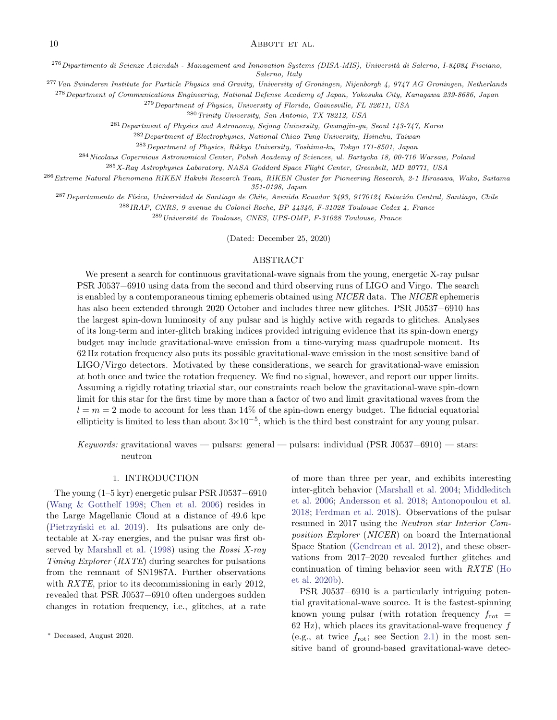10 ABBOTT ET AL.

<sup>276</sup>Dipartimento di Scienze Aziendali - Management and Innovation Systems (DISA-MIS), Università di Salerno, I-84084 Fisciano, Salerno, Italy

<sup>277</sup>Van Swinderen Institute for Particle Physics and Gravity, University of Groningen, Nijenborgh 4, 9747 AG Groningen, Netherlands

<sup>278</sup>Department of Communications Engineering, National Defense Academy of Japan, Yokosuka City, Kanagawa 239-8686, Japan

<sup>279</sup>Department of Physics, University of Florida, Gainesville, FL 32611, USA

<sup>280</sup>Trinity University, San Antonio, TX 78212, USA

<sup>281</sup>Department of Physics and Astronomy, Sejong University, Gwangjin-gu, Seoul 143-747, Korea

<sup>282</sup>Department of Electrophysics, National Chiao Tung University, Hsinchu, Taiwan

<sup>283</sup>Department of Physics, Rikkyo University, Toshima-ku, Tokyo 171-8501, Japan

<sup>284</sup>Nicolaus Copernicus Astronomical Center, Polish Academy of Sciences, ul. Bartycka 18, 00-716 Warsaw, Poland

<sup>285</sup>X-Ray Astrophysics Laboratory, NASA Goddard Space Flight Center, Greenbelt, MD 20771, USA

<sup>286</sup>Extreme Natural Phenomena RIKEN Hakubi Research Team, RIKEN Cluster for Pioneering Research, 2-1 Hirasawa, Wako, Saitama 351-0198, Japan

<sup>287</sup> Departamento de Física, Universidad de Santiago de Chile, Avenida Ecuador 3493, 9170124 Estación Central, Santiago, Chile

<sup>288</sup>IRAP, CNRS, 9 avenue du Colonel Roche, BP 44346, F-31028 Toulouse Cedex 4, France

<sup>289</sup> Université de Toulouse, CNES, UPS-OMP, F-31028 Toulouse, France

(Dated: December 25, 2020)

# ABSTRACT

We present a search for continuous gravitational-wave signals from the young, energetic X-ray pulsar PSR J0537−6910 using data from the second and third observing runs of LIGO and Virgo. The search is enabled by a contemporaneous timing ephemeris obtained using NICER data. The NICER ephemeris has also been extended through 2020 October and includes three new glitches. PSR J0537−6910 has the largest spin-down luminosity of any pulsar and is highly active with regards to glitches. Analyses of its long-term and inter-glitch braking indices provided intriguing evidence that its spin-down energy budget may include gravitational-wave emission from a time-varying mass quadrupole moment. Its 62 Hz rotation frequency also puts its possible gravitational-wave emission in the most sensitive band of LIGO/Virgo detectors. Motivated by these considerations, we search for gravitational-wave emission at both once and twice the rotation frequency. We find no signal, however, and report our upper limits. Assuming a rigidly rotating triaxial star, our constraints reach below the gravitational-wave spin-down limit for this star for the first time by more than a factor of two and limit gravitational waves from the  $l = m = 2$  mode to account for less than 14% of the spin-down energy budget. The fiducial equatorial ellipticity is limited to less than about  $3 \times 10^{-5}$ , which is the third best constraint for any young pulsar.

Keywords: gravitational waves — pulsars: general — pulsars: individual (PSR J0537–6910) — stars: neutron

#### 1. INTRODUCTION

<span id="page-9-1"></span>The young (1–5 kyr) energetic pulsar PSR J0537−6910 [\(Wang & Gotthelf](#page-18-0) [1998;](#page-18-0) [Chen et al.](#page-17-0) [2006\)](#page-17-0) resides in the Large Magellanic Cloud at a distance of 49.6 kpc  $(Pietrzyński et al. 2019)$  $(Pietrzyński et al. 2019)$ . Its pulsations are only detectable at X-ray energies, and the pulsar was first ob-served by [Marshall et al.](#page-18-2) [\(1998\)](#page-18-2) using the Rossi X-ray Timing Explorer (RXTE) during searches for pulsations from the remnant of SN1987A. Further observations with RXTE, prior to its decommissioning in early 2012, revealed that PSR J0537−6910 often undergoes sudden changes in rotation frequency, i.e., glitches, at a rate

of more than three per year, and exhibits interesting inter-glitch behavior [\(Marshall et al.](#page-18-3) [2004;](#page-18-3) [Middleditch](#page-18-4) [et al.](#page-18-4) [2006;](#page-18-4) [Andersson et al.](#page-17-1) [2018;](#page-17-1) [Antonopoulou et al.](#page-17-2) [2018;](#page-17-2) [Ferdman et al.](#page-17-3) [2018\)](#page-17-3). Observations of the pulsar resumed in 2017 using the Neutron star Interior Composition Explorer (NICER) on board the International Space Station [\(Gendreau et al.](#page-17-4) [2012\)](#page-17-4), and these observations from 2017–2020 revealed further glitches and continuation of timing behavior seen with RXTE [\(Ho](#page-18-5) [et al.](#page-18-5) [2020b\)](#page-18-5).

PSR J0537−6910 is a particularly intriguing potential gravitational-wave source. It is the fastest-spinning known young pulsar (with rotation frequency  $f_{\text{rot}} =$ 62 Hz), which places its gravitational-wave frequency  $f$ (e.g., at twice  $f_{\text{rot}}$ ; see Section [2.1\)](#page-10-0) in the most sensitive band of ground-based gravitational-wave detec-

<span id="page-9-0"></span><sup>∗</sup> Deceased, August 2020.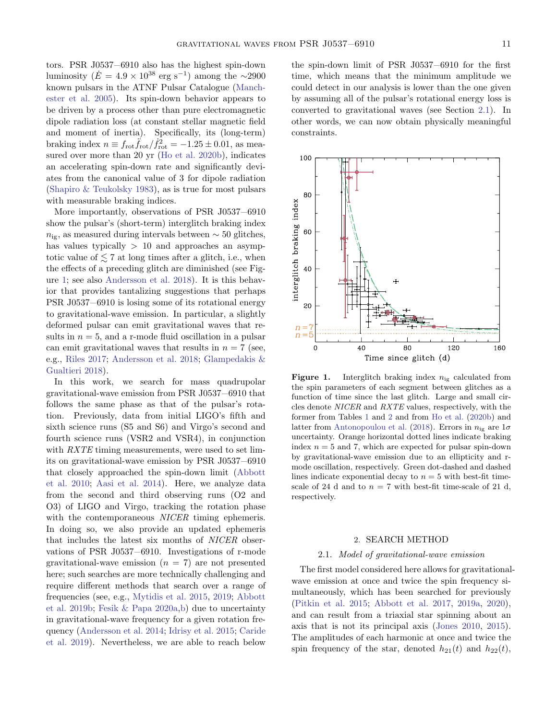tors. PSR J0537−6910 also has the highest spin-down luminosity ( $\dot{E} = 4.9 \times 10^{38} \text{ erg s}^{-1}$ ) among the ~2900 known pulsars in the ATNF Pulsar Catalogue [\(Manch](#page-18-6)[ester et al.](#page-18-6) [2005\)](#page-18-6). Its spin-down behavior appears to be driven by a process other than pure electromagnetic dipole radiation loss (at constant stellar magnetic field and moment of inertia). Specifically, its (long-term) braking index  $n \equiv f_{\text{rot}} \ddot{f}_{\text{rot}} / \dot{f}_{\text{rot}}^2 = -1.25 \pm 0.01$ , as measured over more than 20 yr [\(Ho et al.](#page-18-5) [2020b\)](#page-18-5), indicates an accelerating spin-down rate and significantly deviates from the canonical value of 3 for dipole radiation [\(Shapiro & Teukolsky](#page-18-7) [1983\)](#page-18-7), as is true for most pulsars with measurable braking indices.

More importantly, observations of PSR J0537−6910 show the pulsar's (short-term) interglitch braking index  $n_{ig}$ , as measured during intervals between  $\sim$  50 glitches, has values typically  $> 10$  and approaches an asymptotic value of  $\lesssim$  7 at long times after a glitch, i.e., when the effects of a preceding glitch are diminished (see Figure [1;](#page-10-1) see also [Andersson et al.](#page-17-1) [2018\)](#page-17-1). It is this behavior that provides tantalizing suggestions that perhaps PSR J0537−6910 is losing some of its rotational energy to gravitational-wave emission. In particular, a slightly deformed pulsar can emit gravitational waves that results in  $n = 5$ , and a r-mode fluid oscillation in a pulsar can emit gravitational waves that results in  $n = 7$  (see, e.g., [Riles](#page-18-8) [2017;](#page-18-8) [Andersson et al.](#page-17-1) [2018;](#page-17-1) [Glampedakis &](#page-17-5) [Gualtieri](#page-17-5) [2018\)](#page-17-5).

In this work, we search for mass quadrupolar gravitational-wave emission from PSR J0537−6910 that follows the same phase as that of the pulsar's rotation. Previously, data from initial LIGO's fifth and sixth science runs (S5 and S6) and Virgo's second and fourth science runs (VSR2 and VSR4), in conjunction with  $RXTE$  timing measurements, were used to set limits on gravitational-wave emission by PSR J0537−6910 that closely approached the spin-down limit [\(Abbott](#page-17-6) [et al.](#page-17-6) [2010;](#page-17-6) [Aasi et al.](#page-17-7) [2014\)](#page-17-7). Here, we analyze data from the second and third observing runs (O2 and O3) of LIGO and Virgo, tracking the rotation phase with the contemporaneous *NICER* timing ephemeris. In doing so, we also provide an updated ephemeris that includes the latest six months of NICER observations of PSR J0537−6910. Investigations of r-mode gravitational-wave emission  $(n = 7)$  are not presented here; such searches are more technically challenging and require different methods that search over a range of frequencies (see, e.g., [Mytidis et al.](#page-18-9) [2015,](#page-18-9) [2019;](#page-18-10) [Abbott](#page-17-8) [et al.](#page-17-8) [2019b;](#page-17-8) [Fesik & Papa](#page-17-9) [2020a,](#page-17-9)[b\)](#page-17-10) due to uncertainty in gravitational-wave frequency for a given rotation frequency [\(Andersson et al.](#page-17-11) [2014;](#page-17-11) [Idrisy et al.](#page-18-11) [2015;](#page-18-11) [Caride](#page-17-12) [et al.](#page-17-12) [2019\)](#page-17-12). Nevertheless, we are able to reach below

the spin-down limit of PSR J0537−6910 for the first time, which means that the minimum amplitude we could detect in our analysis is lower than the one given by assuming all of the pulsar's rotational energy loss is converted to gravitational waves (see Section [2.1\)](#page-10-0). In other words, we can now obtain physically meaningful constraints.



<span id="page-10-1"></span>**Figure 1.** Interglitch braking index  $n_{ig}$  calculated from the spin parameters of each segment between glitches as a function of time since the last glitch. Large and small circles denote NICER and RXTE values, respectively, with the former from Tables [1](#page-12-0) and [2](#page-12-1) and from [Ho et al.](#page-18-5) [\(2020b\)](#page-18-5) and latter from [Antonopoulou et al.](#page-17-2) [\(2018\)](#page-17-2). Errors in  $n_{ig}$  are  $1\sigma$ uncertainty. Orange horizontal dotted lines indicate braking index  $n = 5$  and 7, which are expected for pulsar spin-down by gravitational-wave emission due to an ellipticity and rmode oscillation, respectively. Green dot-dashed and dashed lines indicate exponential decay to  $n = 5$  with best-fit timescale of 24 d and to  $n = 7$  with best-fit time-scale of 21 d, respectively.

#### 2. SEARCH METHOD

#### 2.1. Model of gravitational-wave emission

<span id="page-10-0"></span>The first model considered here allows for gravitationalwave emission at once and twice the spin frequency simultaneously, which has been searched for previously [\(Pitkin et al.](#page-18-12) [2015;](#page-18-12) [Abbott et al.](#page-17-13) [2017,](#page-17-13) [2019a,](#page-17-14) [2020\)](#page-17-15), and can result from a triaxial star spinning about an axis that is not its principal axis [\(Jones](#page-18-13) [2010,](#page-18-13) [2015\)](#page-18-14). The amplitudes of each harmonic at once and twice the spin frequency of the star, denoted  $h_{21}(t)$  and  $h_{22}(t)$ ,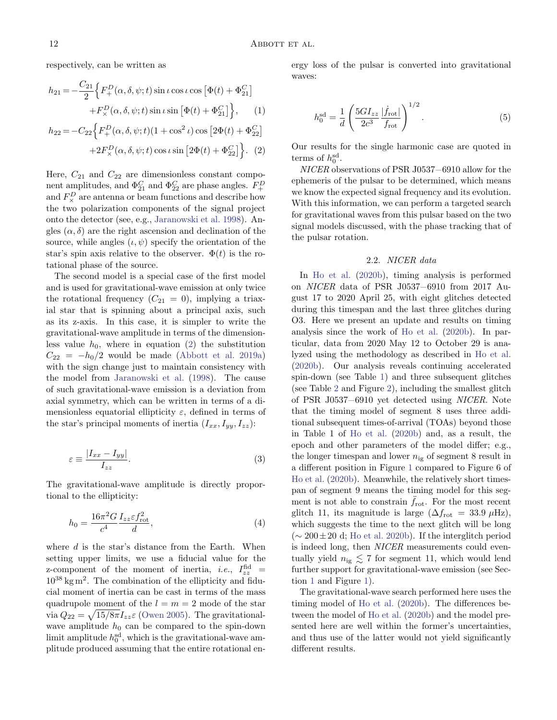respectively, can be written as

<span id="page-11-0"></span>
$$
h_{21} = -\frac{C_{21}}{2} \Big\{ F_{+}^{D}(\alpha, \delta, \psi; t) \sin \iota \cos \iota \cos \left[ \Phi(t) + \Phi_{21}^{C} \right] + F_{\times}^{D}(\alpha, \delta, \psi; t) \sin \iota \sin \left[ \Phi(t) + \Phi_{21}^{C} \right] \Big\}, \tag{1}
$$

$$
h_{22} = -C_{22} \Big\{ F_{+}^{D}(\alpha, \delta, \psi; t) (1 + \cos^{2} \iota) \cos \left[ 2\Phi(t) + \Phi_{22}^{C} \right] + 2F_{\times}^{D}(\alpha, \delta, \psi; t) \cos \iota \sin \left[ 2\Phi(t) + \Phi_{22}^{C} \right] \Big\}.
$$
 (2)

Here,  $C_{21}$  and  $C_{22}$  are dimensionless constant component amplitudes, and  $\Phi_{21}^C$  and  $\Phi_{22}^C$  are phase angles.  $F_+^D$ and  $F_{\times}^{D}$  are antenna or beam functions and describe how the two polarization components of the signal project onto the detector (see, e.g., [Jaranowski et al.](#page-18-15) [1998\)](#page-18-15). Angles  $(\alpha, \delta)$  are the right ascension and declination of the source, while angles  $(\iota, \psi)$  specify the orientation of the star's spin axis relative to the observer.  $\Phi(t)$  is the rotational phase of the source.

The second model is a special case of the first model and is used for gravitational-wave emission at only twice the rotational frequency  $(C_{21} = 0)$ , implying a triaxial star that is spinning about a principal axis, such as its z-axis. In this case, it is simpler to write the gravitational-wave amplitude in terms of the dimensionless value  $h_0$ , where in equation [\(2\)](#page-11-0) the substitution  $C_{22} = -h_0/2$  would be made [\(Abbott et al.](#page-17-14) [2019a\)](#page-17-14) with the sign change just to maintain consistency with the model from [Jaranowski et al.](#page-18-15) [\(1998\)](#page-18-15). The cause of such gravitational-wave emission is a deviation from axial symmetry, which can be written in terms of a dimensionless equatorial ellipticity  $\varepsilon$ , defined in terms of the star's principal moments of inertia  $(I_{xx}, I_{yy}, I_{zz})$ :

$$
\varepsilon \equiv \frac{|I_{xx} - I_{yy}|}{I_{zz}}.\tag{3}
$$

The gravitational-wave amplitude is directly proportional to the ellipticity:

<span id="page-11-2"></span>
$$
h_0 = \frac{16\pi^2 G}{c^4} \frac{I_{zz} \varepsilon f_{\rm rot}^2}{d},\tag{4}
$$

where  $d$  is the star's distance from the Earth. When setting upper limits, we use a fiducial value for the z-component of the moment of inertia, *i.e.*,  $I_{zz}^{\text{fid}}$  =  $10^{38}$  kg m<sup>2</sup>. The combination of the ellipticity and fiducial moment of inertia can be cast in terms of the mass quadrupole moment of the  $l = m = 2$  mode of the star via  $Q_{22} = \sqrt{15/8\pi}I_{zz}\varepsilon$  [\(Owen](#page-18-16) [2005\)](#page-18-16). The gravitationalwave amplitude  $h_0$  can be compared to the spin-down limit amplitude  $h_0^{\text{sd}}$ , which is the gravitational-wave amplitude produced assuming that the entire rotational energy loss of the pulsar is converted into gravitational waves:

$$
h_0^{\rm sd} = \frac{1}{d} \left( \frac{5GI_{zz}}{2c^3} \frac{|\dot{f}_{\rm rot}|}{f_{\rm rot}} \right)^{1/2}.
$$
 (5)

Our results for the single harmonic case are quoted in terms of  $h_0^{\text{sd}}$ .

NICER observations of PSR J0537−6910 allow for the ephemeris of the pulsar to be determined, which means we know the expected signal frequency and its evolution. With this information, we can perform a targeted search for gravitational waves from this pulsar based on the two signal models discussed, with the phase tracking that of the pulsar rotation.

### 2.2. NICER data

<span id="page-11-1"></span>In [Ho et al.](#page-18-5) [\(2020b\)](#page-18-5), timing analysis is performed on NICER data of PSR J0537−6910 from 2017 August 17 to 2020 April 25, with eight glitches detected during this timespan and the last three glitches during O3. Here we present an update and results on timing analysis since the work of [Ho et al.](#page-18-5) [\(2020b\)](#page-18-5). In particular, data from 2020 May 12 to October 29 is analyzed using the methodology as described in [Ho et al.](#page-18-5) [\(2020b\)](#page-18-5). Our analysis reveals continuing accelerated spin-down (see Table [1\)](#page-12-0) and three subsequent glitches (see Table [2](#page-12-1) and Figure [2\)](#page-13-0), including the smallest glitch of PSR J0537−6910 yet detected using NICER. Note that the timing model of segment 8 uses three additional subsequent times-of-arrival (TOAs) beyond those in Table 1 of [Ho et al.](#page-18-5) [\(2020b\)](#page-18-5) and, as a result, the epoch and other parameters of the model differ; e.g., the longer timespan and lower  $n_{ig}$  of segment 8 result in a different position in Figure [1](#page-10-1) compared to Figure 6 of [Ho et al.](#page-18-5) [\(2020b\)](#page-18-5). Meanwhile, the relatively short timespan of segment 9 means the timing model for this segment is not able to constrain  $f_{\text{rot}}$ . For the most recent glitch 11, its magnitude is large ( $\Delta f_{\text{rot}} = 33.9 \mu \text{Hz}$ ), which suggests the time to the next glitch will be long ( $\sim$  200 $\pm$ 20 d; [Ho et al.](#page-18-5) [2020b\)](#page-18-5). If the interglitch period is indeed long, then NICER measurements could eventually yield  $n_{ig} \lesssim 7$  for segment 11, which would lend further support for gravitational-wave emission (see Section [1](#page-9-1) and Figure [1\)](#page-10-1).

The gravitational-wave search performed here uses the timing model of [Ho et al.](#page-18-5) [\(2020b\)](#page-18-5). The differences between the model of [Ho et al.](#page-18-5) [\(2020b\)](#page-18-5) and the model presented here are well within the former's uncertainties, and thus use of the latter would not yield significantly different results.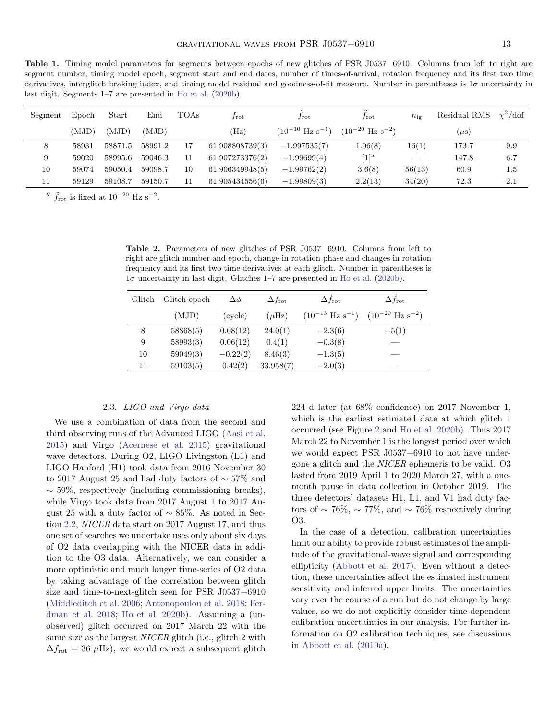<span id="page-12-0"></span>Table 1. Timing model parameters for segments between epochs of new glitches of PSR J0537−6910. Columns from left to right are segment number, timing model epoch, segment start and end dates, number of times-of-arrival, rotation frequency and its first two time derivatives, interglitch braking index, and timing model residual and goodness-of-fit measure. Number in parentheses is  $1\sigma$  uncertainty in last digit. Segments 1–7 are presented in [Ho et al.](#page-18-5) [\(2020b\)](#page-18-5).

| Segment | Epoch | Start   | End     | TOAs | $t_{\rm rot}$   | <i>I</i> rot                     | $I_{\rm rot}$                    | $n_{\rm ig}$      | Residual RMS $\chi^2$ /dof |     |
|---------|-------|---------|---------|------|-----------------|----------------------------------|----------------------------------|-------------------|----------------------------|-----|
|         | (MJD) | (MJD)   | (MJD)   |      | (Hz)            | $(10^{-10}$ Hz s <sup>-1</sup> ) | $(10^{-20}$ Hz s <sup>-2</sup> ) |                   | $(\mu s)$                  |     |
| 8       | 58931 | 58871.5 | 58991.2 | 17   | 61.908808739(3) | $-1.997535(7)$                   | 1.06(8)                          | 16(1)             | 173.7                      | 9.9 |
| 9       | 59020 | 58995.6 | 59046.3 | 11   | 61.907273376(2) | $-1.99699(4)$                    | $[1]^a$                          | $\hspace{0.05cm}$ | 147.8                      | 6.7 |
| 10      | 59074 | 59050.4 | 59098.7 | 10   | 61.906349948(5) | $-1.99762(2)$                    | 3.6(8)                           | 56(13)            | 60.9                       | 1.5 |
| 11      | 59129 | 59108.7 | 59150.7 | 11   | 61.905434556(6) | $-1.99809(3)$                    | 2.2(13)                          | 34(20)            | 72.3                       | 2.1 |

 $a \ddot{f}_{\text{rot}}$  is fixed at  $10^{-20}$  Hz s<sup>-2</sup>.

<span id="page-12-1"></span>Table 2. Parameters of new glitches of PSR J0537−6910. Columns from left to right are glitch number and epoch, change in rotation phase and changes in rotation frequency and its first two time derivatives at each glitch. Number in parentheses is 1σ uncertainty in last digit. Glitches 1–7 are presented in [Ho et al.](#page-18-5) [\(2020b\)](#page-18-5).

| Glitch | Glitch epoch | $\Delta\phi$ | $\Delta f_{\rm rot}$ | $\Delta f_{\rm rot}$             | $\Delta f_{\rm rot}$             |
|--------|--------------|--------------|----------------------|----------------------------------|----------------------------------|
|        | (MJD)        | (cycle)      | $(\mu Hz)$           | $(10^{-13}$ Hz s <sup>-1</sup> ) | $(10^{-20}$ Hz s <sup>-2</sup> ) |
| 8      | 58868(5)     | 0.08(12)     | 24.0(1)              | $-2.3(6)$                        | $-5(1)$                          |
| 9      | 58993(3)     | 0.06(12)     | 0.4(1)               | $-0.3(8)$                        |                                  |
| 10     | 59049(3)     | $-0.22(2)$   | 8.46(3)              | $-1.3(5)$                        |                                  |
| 11     | 59103(5)     | 0.42(2)      | 33.958(7)            | $-2.0(3)$                        |                                  |

#### 2.3. LIGO and Virgo data

<span id="page-12-2"></span>We use a combination of data from the second and third observing runs of the Advanced LIGO [\(Aasi et al.](#page-17-16) [2015\)](#page-17-16) and Virgo [\(Acernese et al.](#page-17-17) [2015\)](#page-17-17) gravitational wave detectors. During O2, LIGO Livingston (L1) and LIGO Hanford (H1) took data from 2016 November 30 to 2017 August 25 and had duty factors of ∼ 57% and  $\sim$  59%, respectively (including commissioning breaks), while Virgo took data from 2017 August 1 to 2017 August 25 with a duty factor of  $\sim$  85%. As noted in Section [2.2,](#page-11-1) NICER data start on 2017 August 17, and thus one set of searches we undertake uses only about six days of O2 data overlapping with the NICER data in addition to the O3 data. Alternatively, we can consider a more optimistic and much longer time-series of O2 data by taking advantage of the correlation between glitch size and time-to-next-glitch seen for PSR J0537−6910 [\(Middleditch et al.](#page-18-4) [2006;](#page-18-4) [Antonopoulou et al.](#page-17-2) [2018;](#page-17-2) [Fer](#page-17-3)[dman et al.](#page-17-3) [2018;](#page-17-3) [Ho et al.](#page-18-5) [2020b\)](#page-18-5). Assuming a (unobserved) glitch occurred on 2017 March 22 with the same size as the largest *NICER* glitch (i.e., glitch 2 with  $\Delta f_{\rm rot} = 36 \mu$ Hz), we would expect a subsequent glitch 224 d later (at 68% confidence) on 2017 November 1, which is the earliest estimated date at which glitch 1 occurred (see Figure [2](#page-13-0) and [Ho et al.](#page-18-5) [2020b\)](#page-18-5). Thus 2017 March 22 to November 1 is the longest period over which we would expect PSR J0537−6910 to not have undergone a glitch and the NICER ephemeris to be valid. O3 lasted from 2019 April 1 to 2020 March 27, with a onemonth pause in data collection in October 2019. The three detectors' datasets H1, L1, and V1 had duty factors of  $\sim 76\%, \sim 77\%, \text{ and } \sim 76\%$  respectively during O3.

In the case of a detection, calibration uncertainties limit our ability to provide robust estimates of the amplitude of the gravitational-wave signal and corresponding ellipticity [\(Abbott et al.](#page-17-18) [2017\)](#page-17-18). Even without a detection, these uncertainties affect the estimated instrument sensitivity and inferred upper limits. The uncertainties vary over the course of a run but do not change by large values, so we do not explicitly consider time-dependent calibration uncertainties in our analysis. For further information on O2 calibration techniques, see discussions in [Abbott et al.](#page-17-14) [\(2019a\)](#page-17-14).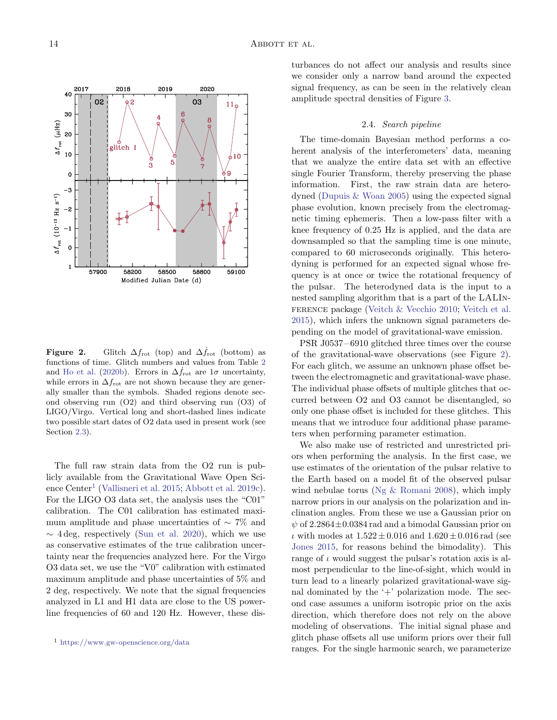

<span id="page-13-0"></span>**Figure 2.** Glitch  $\Delta f_{\text{rot}}$  (top) and  $\Delta f_{\text{rot}}$  (bottom) as functions of time. Glitch numbers and values from Table [2](#page-12-1) and [Ho et al.](#page-18-5) [\(2020b\)](#page-18-5). Errors in  $\Delta f_{\rm rot}$  are  $1\sigma$  uncertainty, while errors in  $\Delta f_{\text{rot}}$  are not shown because they are generally smaller than the symbols. Shaded regions denote second observing run (O2) and third observing run (O3) of LIGO/Virgo. Vertical long and short-dashed lines indicate two possible start dates of O2 data used in present work (see Section [2.3\)](#page-12-2).

The full raw strain data from the O2 run is publicly available from the Gravitational Wave Open Sci-ence Center<sup>[1](#page-13-1)</sup> [\(Vallisneri et al.](#page-18-17) [2015;](#page-18-17) [Abbott et al.](#page-17-19) [2019c\)](#page-17-19). For the LIGO O3 data set, the analysis uses the "C01" calibration. The C01 calibration has estimated maximum amplitude and phase uncertainties of  $\sim 7\%$  and  $\sim$  4 deg, respectively [\(Sun et al.](#page-18-18) [2020\)](#page-18-18), which we use as conservative estimates of the true calibration uncertainty near the frequencies analyzed here. For the Virgo O3 data set, we use the "V0" calibration with estimated maximum amplitude and phase uncertainties of 5% and 2 deg, respectively. We note that the signal frequencies analyzed in L1 and H1 data are close to the US powerline frequencies of 60 and 120 Hz. However, these disturbances do not affect our analysis and results since we consider only a narrow band around the expected signal frequency, as can be seen in the relatively clean amplitude spectral densities of Figure [3.](#page-14-0)

## 2.4. Search pipeline

The time-domain Bayesian method performs a coherent analysis of the interferometers' data, meaning that we analyze the entire data set with an effective single Fourier Transform, thereby preserving the phase information. First, the raw strain data are heterodyned [\(Dupuis & Woan](#page-17-20) [2005\)](#page-17-20) using the expected signal phase evolution, known precisely from the electromagnetic timing ephemeris. Then a low-pass filter with a knee frequency of 0.25 Hz is applied, and the data are downsampled so that the sampling time is one minute, compared to 60 microseconds originally. This heterodyning is performed for an expected signal whose frequency is at once or twice the rotational frequency of the pulsar. The heterodyned data is the input to a nested sampling algorithm that is a part of the LALInference package [\(Veitch & Vecchio](#page-18-19) [2010;](#page-18-19) [Veitch et al.](#page-18-20) [2015\)](#page-18-20), which infers the unknown signal parameters depending on the model of gravitational-wave emission.

PSR J0537−6910 glitched three times over the course of the gravitational-wave observations (see Figure [2\)](#page-13-0). For each glitch, we assume an unknown phase offset between the electromagnetic and gravitational-wave phase. The individual phase offsets of multiple glitches that occurred between O2 and O3 cannot be disentangled, so only one phase offset is included for these glitches. This means that we introduce four additional phase parameters when performing parameter estimation.

We also make use of restricted and unrestricted priors when performing the analysis. In the first case, we use estimates of the orientation of the pulsar relative to the Earth based on a model fit of the observed pulsar wind nebulae torus [\(Ng & Romani](#page-18-21) [2008\)](#page-18-21), which imply narrow priors in our analysis on the polarization and inclination angles. From these we use a Gaussian prior on  $\psi$  of 2.2864 $\pm$ 0.0384 rad and a bimodal Gaussian prior on  $\iota$  with modes at  $1.522 \pm 0.016$  and  $1.620 \pm 0.016$  rad (see [Jones](#page-18-14) [2015,](#page-18-14) for reasons behind the bimodality). This range of  $\iota$  would suggest the pulsar's rotation axis is almost perpendicular to the line-of-sight, which would in turn lead to a linearly polarized gravitational-wave signal dominated by the  $+$  polarization mode. The second case assumes a uniform isotropic prior on the axis direction, which therefore does not rely on the above modeling of observations. The initial signal phase and glitch phase offsets all use uniform priors over their full ranges. For the single harmonic search, we parameterize

<span id="page-13-1"></span><sup>1</sup> <https://www.gw-openscience.org/data>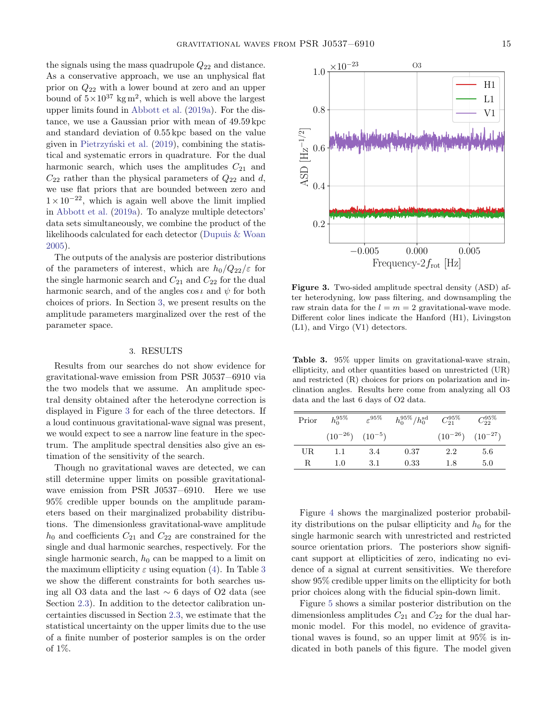the signals using the mass quadrupole  $Q_{22}$  and distance. As a conservative approach, we use an unphysical flat prior on  $Q_{22}$  with a lower bound at zero and an upper bound of  $5 \times 10^{37}$  kg m<sup>2</sup>, which is well above the largest upper limits found in [Abbott et al.](#page-17-14) [\(2019a\)](#page-17-14). For the distance, we use a Gaussian prior with mean of 49.59 kpc and standard deviation of 0.55 kpc based on the value given in Pietrzyński et al. [\(2019\)](#page-18-1), combining the statistical and systematic errors in quadrature. For the dual harmonic search, which uses the amplitudes  $C_{21}$  and  $C_{22}$  rather than the physical parameters of  $Q_{22}$  and d, we use flat priors that are bounded between zero and  $1 \times 10^{-22}$ , which is again well above the limit implied in [Abbott et al.](#page-17-14) [\(2019a\)](#page-17-14). To analyze multiple detectors' data sets simultaneously, we combine the product of the likelihoods calculated for each detector [\(Dupuis & Woan](#page-17-20) [2005\)](#page-17-20).

The outputs of the analysis are posterior distributions of the parameters of interest, which are  $h_0/Q_{22}/\varepsilon$  for the single harmonic search and  $C_{21}$  and  $C_{22}$  for the dual harmonic search, and of the angles  $\cos \iota$  and  $\psi$  for both choices of priors. In Section [3,](#page-14-1) we present results on the amplitude parameters marginalized over the rest of the parameter space.

## 3. RESULTS

<span id="page-14-1"></span>Results from our searches do not show evidence for gravitational-wave emission from PSR J0537−6910 via the two models that we assume. An amplitude spectral density obtained after the heterodyne correction is displayed in Figure [3](#page-14-0) for each of the three detectors. If a loud continuous gravitational-wave signal was present, we would expect to see a narrow line feature in the spectrum. The amplitude spectral densities also give an estimation of the sensitivity of the search.

Though no gravitational waves are detected, we can still determine upper limits on possible gravitationalwave emission from PSR J0537−6910. Here we use 95% credible upper bounds on the amplitude parameters based on their marginalized probability distributions. The dimensionless gravitational-wave amplitude  $h_0$  and coefficients  $C_{21}$  and  $C_{22}$  are constrained for the single and dual harmonic searches, respectively. For the single harmonic search,  $h_0$  can be mapped to a limit on the maximum ellipticity  $\varepsilon$  using equation [\(4\)](#page-11-2). In Table [3](#page-14-2) we show the different constraints for both searches using all O3 data and the last ∼ 6 days of O2 data (see Section [2.3\)](#page-12-2). In addition to the detector calibration uncertainties discussed in Section [2.3,](#page-12-2) we estimate that the statistical uncertainty on the upper limits due to the use of a finite number of posterior samples is on the order of 1%.



<span id="page-14-0"></span>Figure 3. Two-sided amplitude spectral density (ASD) after heterodyning, low pass filtering, and downsampling the raw strain data for the  $l = m = 2$  gravitational-wave mode. Different color lines indicate the Hanford (H1), Livingston (L1), and Virgo (V1) detectors.

<span id="page-14-2"></span>Table 3. 95% upper limits on gravitational-wave strain, ellipticity, and other quantities based on unrestricted (UR) and restricted (R) choices for priors on polarization and inclination angles. Results here come from analyzing all O3 data and the last 6 days of O2 data.

| Prior | $h_0^{95\%}$             | $\varepsilon^{95\%}$ | $h_0^{95\%}/h_0^{\rm sd}$ $C_{21}^{95\%}$ |                           | $C_{22}^{95\%}$ |  |
|-------|--------------------------|----------------------|-------------------------------------------|---------------------------|-----------------|--|
|       | $(10^{-26})$ $(10^{-5})$ |                      |                                           | $(10^{-26})$ $(10^{-27})$ |                 |  |
| UR.   | 1.1                      | 3.4                  | 0.37                                      | 2.2                       | 5.6             |  |
| R     | 1.0                      | 3.1                  | 0.33                                      | 1.8                       | 5.0             |  |

Figure [4](#page-15-0) shows the marginalized posterior probability distributions on the pulsar ellipticity and  $h_0$  for the single harmonic search with unrestricted and restricted source orientation priors. The posteriors show significant support at ellipticities of zero, indicating no evidence of a signal at current sensitivities. We therefore show 95% credible upper limits on the ellipticity for both prior choices along with the fiducial spin-down limit.

Figure [5](#page-16-0) shows a similar posterior distribution on the dimensionless amplitudes  $C_{21}$  and  $C_{22}$  for the dual harmonic model. For this model, no evidence of gravitational waves is found, so an upper limit at 95% is indicated in both panels of this figure. The model given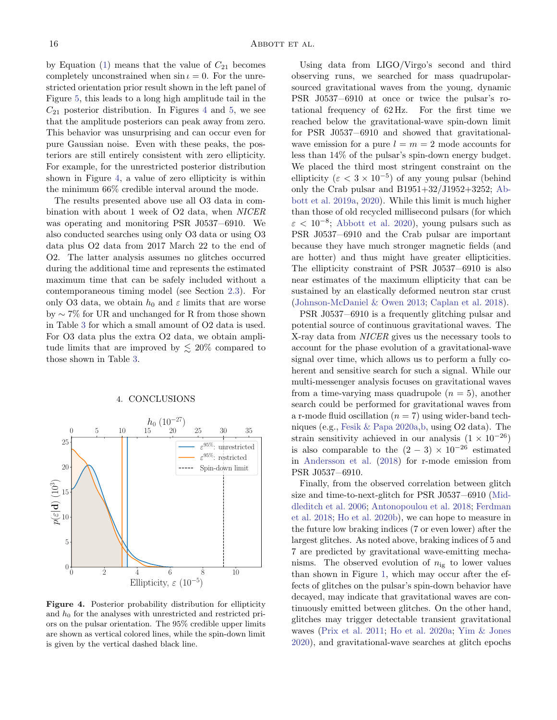by Equation  $(1)$  means that the value of  $C_{21}$  becomes completely unconstrained when  $\sin t = 0$ . For the unrestricted orientation prior result shown in the left panel of Figure [5,](#page-16-0) this leads to a long high amplitude tail in the  $C_{21}$  posterior distribution. In Figures [4](#page-15-0) and [5,](#page-16-0) we see that the amplitude posteriors can peak away from zero. This behavior was unsurprising and can occur even for pure Gaussian noise. Even with these peaks, the posteriors are still entirely consistent with zero ellipticity. For example, for the unrestricted posterior distribution shown in Figure [4,](#page-15-0) a value of zero ellipticity is within the minimum 66% credible interval around the mode.

The results presented above use all O3 data in combination with about 1 week of O2 data, when NICER was operating and monitoring PSR J0537−6910. We also conducted searches using only O3 data or using O3 data plus O2 data from 2017 March 22 to the end of O2. The latter analysis assumes no glitches occurred during the additional time and represents the estimated maximum time that can be safely included without a contemporaneous timing model (see Section [2.3\)](#page-12-2). For only O3 data, we obtain  $h_0$  and  $\varepsilon$  limits that are worse by ∼ 7% for UR and unchanged for R from those shown in Table [3](#page-14-2) for which a small amount of O2 data is used. For O3 data plus the extra O2 data, we obtain amplitude limits that are improved by  $\lesssim 20\%$  compared to those shown in Table [3.](#page-14-2)

## 4. CONCLUSIONS



<span id="page-15-0"></span>Figure 4. Posterior probability distribution for ellipticity and  $h_0$  for the analyses with unrestricted and restricted priors on the pulsar orientation. The 95% credible upper limits are shown as vertical colored lines, while the spin-down limit is given by the vertical dashed black line.

Using data from LIGO/Virgo's second and third observing runs, we searched for mass quadrupolarsourced gravitational waves from the young, dynamic PSR J0537−6910 at once or twice the pulsar's rotational frequency of 62 Hz. For the first time we reached below the gravitational-wave spin-down limit for PSR J0537–6910 and showed that gravitationalwave emission for a pure  $l = m = 2$  mode accounts for less than 14% of the pulsar's spin-down energy budget. We placed the third most stringent constraint on the ellipticity ( $\varepsilon < 3 \times 10^{-5}$ ) of any young pulsar (behind only the Crab pulsar and B1951+32/J1952+3252; [Ab](#page-17-14)[bott et al.](#page-17-14) [2019a,](#page-17-14) [2020\)](#page-17-15). While this limit is much higher than those of old recycled millisecond pulsars (for which  $\varepsilon < 10^{-8}$ ; [Abbott et al.](#page-17-15) [2020\)](#page-17-15), young pulsars such as PSR J0537−6910 and the Crab pulsar are important because they have much stronger magnetic fields (and are hotter) and thus might have greater ellipticities. The ellipticity constraint of PSR J0537−6910 is also near estimates of the maximum ellipticity that can be sustained by an elastically deformed neutron star crust [\(Johnson-McDaniel & Owen](#page-18-22) [2013;](#page-18-22) [Caplan et al.](#page-17-21) [2018\)](#page-17-21).

PSR J0537−6910 is a frequently glitching pulsar and potential source of continuous gravitational waves. The X-ray data from NICER gives us the necessary tools to account for the phase evolution of a gravitational-wave signal over time, which allows us to perform a fully coherent and sensitive search for such a signal. While our multi-messenger analysis focuses on gravitational waves from a time-varying mass quadrupole  $(n = 5)$ , another search could be performed for gravitational waves from a r-mode fluid oscillation  $(n = 7)$  using wider-band techniques (e.g., [Fesik & Papa](#page-17-9) [2020a,](#page-17-9)[b,](#page-17-10) using O2 data). The strain sensitivity achieved in our analysis  $(1 \times 10^{-26})$ is also comparable to the  $(2-3) \times 10^{-26}$  estimated in [Andersson et al.](#page-17-1) [\(2018\)](#page-17-1) for r-mode emission from PSR J0537−6910.

Finally, from the observed correlation between glitch size and time-to-next-glitch for PSR J0537−6910 [\(Mid](#page-18-4)[dleditch et al.](#page-18-4) [2006;](#page-18-4) [Antonopoulou et al.](#page-17-2) [2018;](#page-17-2) [Ferdman](#page-17-3) [et al.](#page-17-3) [2018;](#page-17-3) [Ho et al.](#page-18-5) [2020b\)](#page-18-5), we can hope to measure in the future low braking indices (7 or even lower) after the largest glitches. As noted above, braking indices of 5 and 7 are predicted by gravitational wave-emitting mechanisms. The observed evolution of  $n_{ig}$  to lower values than shown in Figure [1,](#page-10-1) which may occur after the effects of glitches on the pulsar's spin-down behavior have decayed, may indicate that gravitational waves are continuously emitted between glitches. On the other hand, glitches may trigger detectable transient gravitational waves [\(Prix et al.](#page-18-23) [2011;](#page-18-23) [Ho et al.](#page-18-24) [2020a;](#page-18-24) [Yim & Jones](#page-18-25) [2020\)](#page-18-25), and gravitational-wave searches at glitch epochs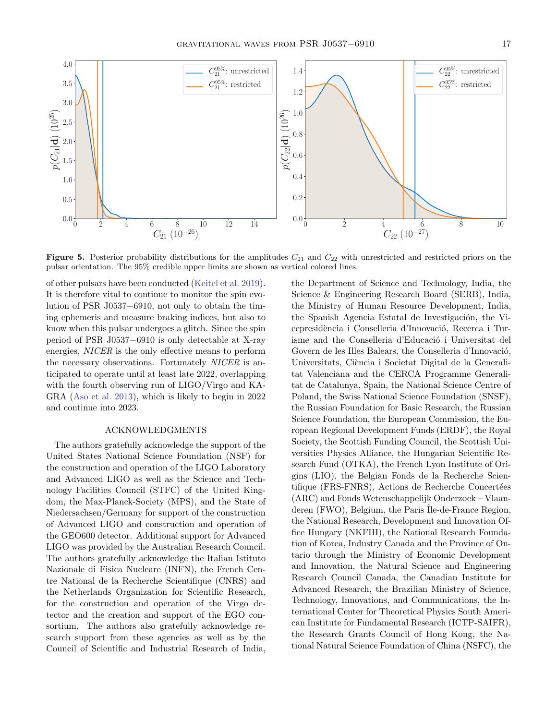

<span id="page-16-0"></span>Figure 5. Posterior probability distributions for the amplitudes  $C_{21}$  and  $C_{22}$  with unrestricted and restricted priors on the pulsar orientation. The 95% credible upper limits are shown as vertical colored lines.

of other pulsars have been conducted [\(Keitel et al.](#page-18-26) [2019\)](#page-18-26). It is therefore vital to continue to monitor the spin evolution of PSR J0537−6910, not only to obtain the timing ephemeris and measure braking indices, but also to know when this pulsar undergoes a glitch. Since the spin period of PSR J0537−6910 is only detectable at X-ray energies, NICER is the only effective means to perform the necessary observations. Fortunately NICER is anticipated to operate until at least late 2022, overlapping with the fourth observing run of LIGO/Virgo and KA-GRA [\(Aso et al.](#page-17-22) [2013\)](#page-17-22), which is likely to begin in 2022 and continue into 2023.

# ACKNOWLEDGMENTS

The authors gratefully acknowledge the support of the United States National Science Foundation (NSF) for the construction and operation of the LIGO Laboratory and Advanced LIGO as well as the Science and Technology Facilities Council (STFC) of the United Kingdom, the Max-Planck-Society (MPS), and the State of Niedersachsen/Germany for support of the construction of Advanced LIGO and construction and operation of the GEO600 detector. Additional support for Advanced LIGO was provided by the Australian Research Council. The authors gratefully acknowledge the Italian Istituto Nazionale di Fisica Nucleare (INFN), the French Centre National de la Recherche Scientifique (CNRS) and the Netherlands Organization for Scientific Research, for the construction and operation of the Virgo detector and the creation and support of the EGO consortium. The authors also gratefully acknowledge research support from these agencies as well as by the Council of Scientific and Industrial Research of India,

the Department of Science and Technology, India, the Science & Engineering Research Board (SERB), India, the Ministry of Human Resource Development, India, the Spanish Agencia Estatal de Investigación, the Vicepresidència i Conselleria d'Innovació, Recerca i Turisme and the Conselleria d'Educació i Universitat del Govern de les Illes Balears, the Conselleria d'Innovació, Universitats, Ciència i Societat Digital de la Generalitat Valenciana and the CERCA Programme Generalitat de Catalunya, Spain, the National Science Centre of Poland, the Swiss National Science Foundation (SNSF), the Russian Foundation for Basic Research, the Russian Science Foundation, the European Commission, the European Regional Development Funds (ERDF), the Royal Society, the Scottish Funding Council, the Scottish Universities Physics Alliance, the Hungarian Scientific Research Fund (OTKA), the French Lyon Institute of Origins (LIO), the Belgian Fonds de la Recherche Scientifique (FRS-FNRS), Actions de Recherche Concertées (ARC) and Fonds Wetenschappelijk Onderzoek – Vlaanderen (FWO), Belgium, the Paris Île-de-France Region, the National Research, Development and Innovation Office Hungary (NKFIH), the National Research Foundation of Korea, Industry Canada and the Province of Ontario through the Ministry of Economic Development and Innovation, the Natural Science and Engineering Research Council Canada, the Canadian Institute for Advanced Research, the Brazilian Ministry of Science, Technology, Innovations, and Communications, the International Center for Theoretical Physics South American Institute for Fundamental Research (ICTP-SAIFR), the Research Grants Council of Hong Kong, the National Natural Science Foundation of China (NSFC), the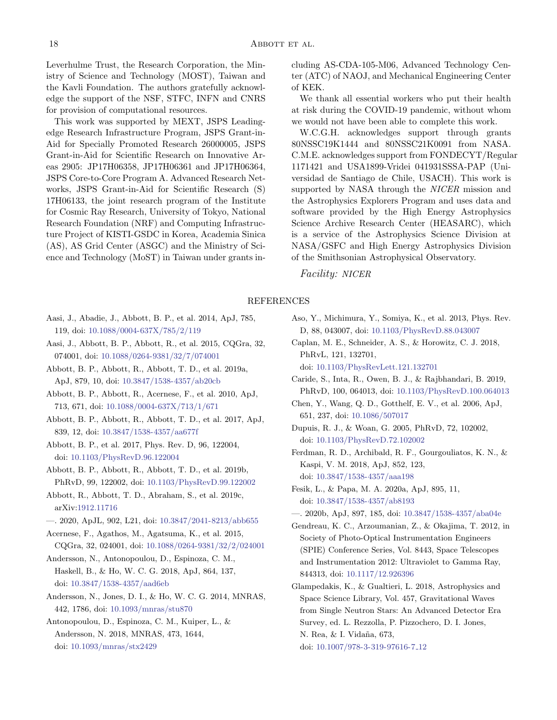Leverhulme Trust, the Research Corporation, the Ministry of Science and Technology (MOST), Taiwan and the Kavli Foundation. The authors gratefully acknowledge the support of the NSF, STFC, INFN and CNRS for provision of computational resources.

This work was supported by MEXT, JSPS Leadingedge Research Infrastructure Program, JSPS Grant-in-Aid for Specially Promoted Research 26000005, JSPS Grant-in-Aid for Scientific Research on Innovative Areas 2905: JP17H06358, JP17H06361 and JP17H06364, JSPS Core-to-Core Program A. Advanced Research Networks, JSPS Grant-in-Aid for Scientific Research (S) 17H06133, the joint research program of the Institute for Cosmic Ray Research, University of Tokyo, National Research Foundation (NRF) and Computing Infrastructure Project of KISTI-GSDC in Korea, Academia Sinica (AS), AS Grid Center (ASGC) and the Ministry of Science and Technology (MoST) in Taiwan under grants including AS-CDA-105-M06, Advanced Technology Center (ATC) of NAOJ, and Mechanical Engineering Center of KEK.

We thank all essential workers who put their health at risk during the COVID-19 pandemic, without whom we would not have been able to complete this work.

W.C.G.H. acknowledges support through grants 80NSSC19K1444 and 80NSSC21K0091 from NASA. C.M.E. acknowledges support from FONDECYT/Regular 1171421 and USA1899-Vridei 041931SSSA-PAP (Universidad de Santiago de Chile, USACH). This work is supported by NASA through the NICER mission and the Astrophysics Explorers Program and uses data and software provided by the High Energy Astrophysics Science Archive Research Center (HEASARC), which is a service of the Astrophysics Science Division at NASA/GSFC and High Energy Astrophysics Division of the Smithsonian Astrophysical Observatory.

Facility: NICER

### REFERENCES

- <span id="page-17-7"></span>Aasi, J., Abadie, J., Abbott, B. P., et al. 2014, ApJ, 785, 119, doi: [10.1088/0004-637X/785/2/119](http://doi.org/10.1088/0004-637X/785/2/119)
- <span id="page-17-16"></span>Aasi, J., Abbott, B. P., Abbott, R., et al. 2015, CQGra, 32, 074001, doi: [10.1088/0264-9381/32/7/074001](http://doi.org/10.1088/0264-9381/32/7/074001)
- <span id="page-17-14"></span>Abbott, B. P., Abbott, R., Abbott, T. D., et al. 2019a, ApJ, 879, 10, doi: [10.3847/1538-4357/ab20cb](http://doi.org/10.3847/1538-4357/ab20cb)
- <span id="page-17-6"></span>Abbott, B. P., Abbott, R., Acernese, F., et al. 2010, ApJ, 713, 671, doi: [10.1088/0004-637X/713/1/671](http://doi.org/10.1088/0004-637X/713/1/671)
- <span id="page-17-13"></span>Abbott, B. P., Abbott, R., Abbott, T. D., et al. 2017, ApJ, 839, 12, doi: [10.3847/1538-4357/aa677f](http://doi.org/10.3847/1538-4357/aa677f)
- <span id="page-17-18"></span>Abbott, B. P., et al. 2017, Phys. Rev. D, 96, 122004, doi: [10.1103/PhysRevD.96.122004](http://doi.org/10.1103/PhysRevD.96.122004)
- <span id="page-17-8"></span>Abbott, B. P., Abbott, R., Abbott, T. D., et al. 2019b, PhRvD, 99, 122002, doi: [10.1103/PhysRevD.99.122002](http://doi.org/10.1103/PhysRevD.99.122002)
- <span id="page-17-19"></span>Abbott, R., Abbott, T. D., Abraham, S., et al. 2019c, arXiv[:1912.11716](https://arxiv.org/abs/1912.11716)
- <span id="page-17-15"></span>—. 2020, ApJL, 902, L21, doi: [10.3847/2041-8213/abb655](http://doi.org/10.3847/2041-8213/abb655)
- <span id="page-17-17"></span>Acernese, F., Agathos, M., Agatsuma, K., et al. 2015, CQGra, 32, 024001, doi: [10.1088/0264-9381/32/2/024001](http://doi.org/10.1088/0264-9381/32/2/024001)
- <span id="page-17-1"></span>Andersson, N., Antonopoulou, D., Espinoza, C. M., Haskell, B., & Ho, W. C. G. 2018, ApJ, 864, 137, doi: [10.3847/1538-4357/aad6eb](http://doi.org/10.3847/1538-4357/aad6eb)
- <span id="page-17-11"></span>Andersson, N., Jones, D. I., & Ho, W. C. G. 2014, MNRAS, 442, 1786, doi: [10.1093/mnras/stu870](http://doi.org/10.1093/mnras/stu870)

<span id="page-17-2"></span>Antonopoulou, D., Espinoza, C. M., Kuiper, L., & Andersson, N. 2018, MNRAS, 473, 1644, doi: [10.1093/mnras/stx2429](http://doi.org/10.1093/mnras/stx2429)

- <span id="page-17-22"></span>Aso, Y., Michimura, Y., Somiya, K., et al. 2013, Phys. Rev. D, 88, 043007, doi: [10.1103/PhysRevD.88.043007](http://doi.org/10.1103/PhysRevD.88.043007)
- <span id="page-17-21"></span>Caplan, M. E., Schneider, A. S., & Horowitz, C. J. 2018, PhRvL, 121, 132701,
	- doi: [10.1103/PhysRevLett.121.132701](http://doi.org/10.1103/PhysRevLett.121.132701)
- <span id="page-17-12"></span>Caride, S., Inta, R., Owen, B. J., & Rajbhandari, B. 2019, PhRvD, 100, 064013, doi: [10.1103/PhysRevD.100.064013](http://doi.org/10.1103/PhysRevD.100.064013)
- <span id="page-17-0"></span>Chen, Y., Wang, Q. D., Gotthelf, E. V., et al. 2006, ApJ, 651, 237, doi: [10.1086/507017](http://doi.org/10.1086/507017)
- <span id="page-17-20"></span>Dupuis, R. J., & Woan, G. 2005, PhRvD, 72, 102002, doi: [10.1103/PhysRevD.72.102002](http://doi.org/10.1103/PhysRevD.72.102002)
- <span id="page-17-3"></span>Ferdman, R. D., Archibald, R. F., Gourgouliatos, K. N., & Kaspi, V. M. 2018, ApJ, 852, 123, doi: [10.3847/1538-4357/aaa198](http://doi.org/10.3847/1538-4357/aaa198)
- <span id="page-17-9"></span>Fesik, L., & Papa, M. A. 2020a, ApJ, 895, 11, doi: [10.3847/1538-4357/ab8193](http://doi.org/10.3847/1538-4357/ab8193)
- <span id="page-17-10"></span>—. 2020b, ApJ, 897, 185, doi: [10.3847/1538-4357/aba04e](http://doi.org/10.3847/1538-4357/aba04e)
- <span id="page-17-4"></span>Gendreau, K. C., Arzoumanian, Z., & Okajima, T. 2012, in Society of Photo-Optical Instrumentation Engineers (SPIE) Conference Series, Vol. 8443, Space Telescopes and Instrumentation 2012: Ultraviolet to Gamma Ray, 844313, doi: [10.1117/12.926396](http://doi.org/10.1117/12.926396)
- <span id="page-17-5"></span>Glampedakis, K., & Gualtieri, L. 2018, Astrophysics and Space Science Library, Vol. 457, Gravitational Waves from Single Neutron Stars: An Advanced Detector Era Survey, ed. L. Rezzolla, P. Pizzochero, D. I. Jones, N. Rea, & I. Vidaña, 673, doi: [10.1007/978-3-319-97616-7](http://doi.org/10.1007/978-3-319-97616-7_12) 12